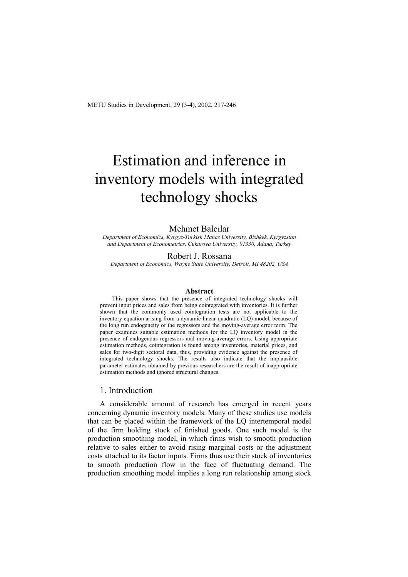# Estimation and inference in inventory models with integrated technology shocks

#### Mehmet Balcılar

*Department of Economics, Kyrgyz-Turkish Manas University, Bishkek, Kyrgyzstan and Department of Econometrics, Çukurova University, 01330, Adana, Turkey* 

### Robert J. Rossana

*Department of Economics, Wayne State University, Detroit, MI 48202, USA* 

#### **Abstract**

This paper shows that the presence of integrated technology shocks will prevent input prices and sales from being cointegrated with inventories. It is further shown that the commonly used cointegration tests are not applicable to the inventory equation arising from a dynamic linear-quadratic (LQ) model, because of the long run endogeneity of the regressors and the moving-average error term. The paper examines suitable estimation methods for the LQ inventory model in the presence of endogenous regressors and moving-average errors. Using appropriate estimation methods, cointegration is found among inventories, material prices, and sales for two-digit sectoral data, thus, providing evidence against the presence of integrated technology shocks. The results also indicate that the implausible parameter estimates obtained by previous researchers are the result of inappropriate estimation methods and ignored structural changes.

#### 1. Introduction

A considerable amount of research has emerged in recent years concerning dynamic inventory models. Many of these studies use models that can be placed within the framework of the LQ intertemporal model of the firm holding stock of finished goods. One such model is the production smoothing model, in which firms wish to smooth production relative to sales either to avoid rising marginal costs or the adjustment costs attached to its factor inputs. Firms thus use their stock of inventories to smooth production flow in the face of fluctuating demand. The production smoothing model implies a long run relationship among stock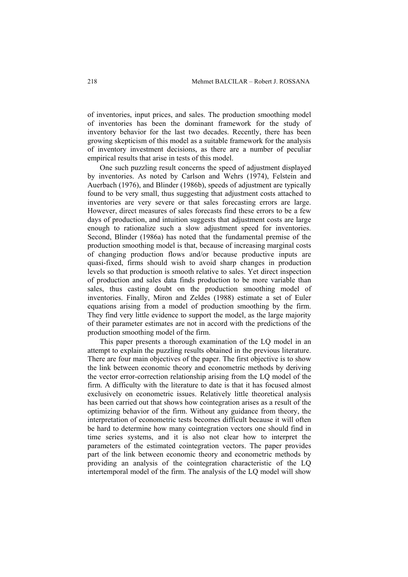of inventories, input prices, and sales. The production smoothing model of inventories has been the dominant framework for the study of inventory behavior for the last two decades. Recently, there has been growing skepticism of this model as a suitable framework for the analysis of inventory investment decisions, as there are a number of peculiar empirical results that arise in tests of this model.

One such puzzling result concerns the speed of adjustment displayed by inventories. As noted by Carlson and Wehrs (1974), Felstein and Auerbach (1976), and Blinder (1986b), speeds of adjustment are typically found to be very small, thus suggesting that adjustment costs attached to inventories are very severe or that sales forecasting errors are large. However, direct measures of sales forecasts find these errors to be a few days of production, and intuition suggests that adjustment costs are large enough to rationalize such a slow adjustment speed for inventories. Second, Blinder (1986a) has noted that the fundamental premise of the production smoothing model is that, because of increasing marginal costs of changing production flows and/or because productive inputs are quasi-fixed, firms should wish to avoid sharp changes in production levels so that production is smooth relative to sales. Yet direct inspection of production and sales data finds production to be more variable than sales, thus casting doubt on the production smoothing model of inventories. Finally, Miron and Zeldes (1988) estimate a set of Euler equations arising from a model of production smoothing by the firm. They find very little evidence to support the model, as the large majority of their parameter estimates are not in accord with the predictions of the production smoothing model of the firm.

This paper presents a thorough examination of the LQ model in an attempt to explain the puzzling results obtained in the previous literature. There are four main objectives of the paper. The first objective is to show the link between economic theory and econometric methods by deriving the vector error-correction relationship arising from the LQ model of the firm. A difficulty with the literature to date is that it has focused almost exclusively on econometric issues. Relatively little theoretical analysis has been carried out that shows how cointegration arises as a result of the optimizing behavior of the firm. Without any guidance from theory, the interpretation of econometric tests becomes difficult because it will often be hard to determine how many cointegration vectors one should find in time series systems, and it is also not clear how to interpret the parameters of the estimated cointegration vectors. The paper provides part of the link between economic theory and econometric methods by providing an analysis of the cointegration characteristic of the LQ intertemporal model of the firm. The analysis of the LQ model will show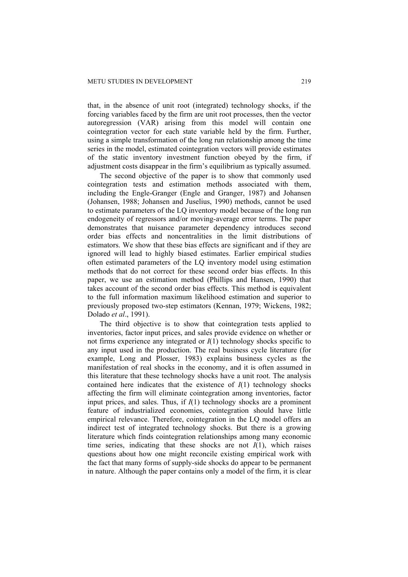that, in the absence of unit root (integrated) technology shocks, if the forcing variables faced by the firm are unit root processes, then the vector autoregression (VAR) arising from this model will contain one cointegration vector for each state variable held by the firm. Further, using a simple transformation of the long run relationship among the time series in the model, estimated cointegration vectors will provide estimates of the static inventory investment function obeyed by the firm, if adjustment costs disappear in the firm's equilibrium as typically assumed.

The second objective of the paper is to show that commonly used cointegration tests and estimation methods associated with them, including the Engle-Granger (Engle and Granger, 1987) and Johansen (Johansen, 1988; Johansen and Juselius, 1990) methods, cannot be used to estimate parameters of the LQ inventory model because of the long run endogeneity of regressors and/or moving-average error terms. The paper demonstrates that nuisance parameter dependency introduces second order bias effects and noncentralities in the limit distributions of estimators. We show that these bias effects are significant and if they are ignored will lead to highly biased estimates. Earlier empirical studies often estimated parameters of the LQ inventory model using estimation methods that do not correct for these second order bias effects. In this paper, we use an estimation method (Phillips and Hansen, 1990) that takes account of the second order bias effects. This method is equivalent to the full information maximum likelihood estimation and superior to previously proposed two-step estimators (Kennan, 1979; Wickens, 1982; Dolado *et al*., 1991).

The third objective is to show that cointegration tests applied to inventories, factor input prices, and sales provide evidence on whether or not firms experience any integrated or *I*(1) technology shocks specific to any input used in the production. The real business cycle literature (for example, Long and Plosser, 1983) explains business cycles as the manifestation of real shocks in the economy, and it is often assumed in this literature that these technology shocks have a unit root. The analysis contained here indicates that the existence of *I*(1) technology shocks affecting the firm will eliminate cointegration among inventories, factor input prices, and sales. Thus, if *I*(1) technology shocks are a prominent feature of industrialized economies, cointegration should have little empirical relevance. Therefore, cointegration in the LQ model offers an indirect test of integrated technology shocks. But there is a growing literature which finds cointegration relationships among many economic time series, indicating that these shocks are not  $I(1)$ , which raises questions about how one might reconcile existing empirical work with the fact that many forms of supply-side shocks do appear to be permanent in nature. Although the paper contains only a model of the firm, it is clear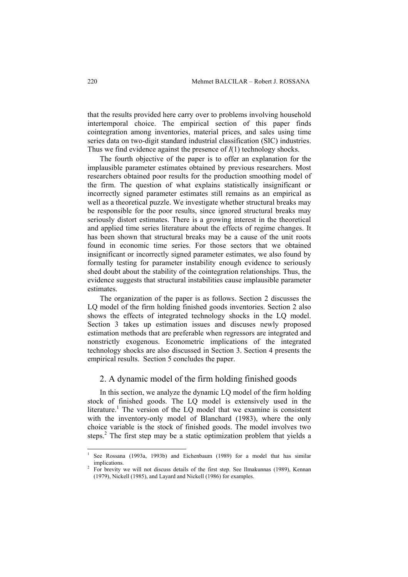that the results provided here carry over to problems involving household intertemporal choice. The empirical section of this paper finds cointegration among inventories, material prices, and sales using time series data on two-digit standard industrial classification (SIC) industries. Thus we find evidence against the presence of *I*(1) technology shocks.

The fourth objective of the paper is to offer an explanation for the implausible parameter estimates obtained by previous researchers. Most researchers obtained poor results for the production smoothing model of the firm. The question of what explains statistically insignificant or incorrectly signed parameter estimates still remains as an empirical as well as a theoretical puzzle. We investigate whether structural breaks may be responsible for the poor results, since ignored structural breaks may seriously distort estimates. There is a growing interest in the theoretical and applied time series literature about the effects of regime changes. It has been shown that structural breaks may be a cause of the unit roots found in economic time series. For those sectors that we obtained insignificant or incorrectly signed parameter estimates, we also found by formally testing for parameter instability enough evidence to seriously shed doubt about the stability of the cointegration relationships. Thus, the evidence suggests that structural instabilities cause implausible parameter estimates.

The organization of the paper is as follows. Section 2 discusses the LQ model of the firm holding finished goods inventories. Section 2 also shows the effects of integrated technology shocks in the LQ model. Section 3 takes up estimation issues and discuses newly proposed estimation methods that are preferable when regressors are integrated and nonstrictly exogenous. Econometric implications of the integrated technology shocks are also discussed in Section 3. Section 4 presents the empirical results. Section 5 concludes the paper.

#### 2. A dynamic model of the firm holding finished goods

In this section, we analyze the dynamic LQ model of the firm holding stock of finished goods. The LQ model is extensively used in the literature.<sup>1</sup> The version of the LQ model that we examine is consistent with the inventory-only model of Blanchard (1983), where the only choice variable is the stock of finished goods. The model involves two steps.<sup>2</sup> The first step may be a static optimization problem that yields a

<sup>1</sup> See Rossana (1993a, 1993b) and Eichenbaum (1989) for a model that has similar implications.

For brevity we will not discuss details of the first step. See Ilmakunnas (1989), Kennan (1979), Nickell (1985), and Layard and Nickell (1986) for examples.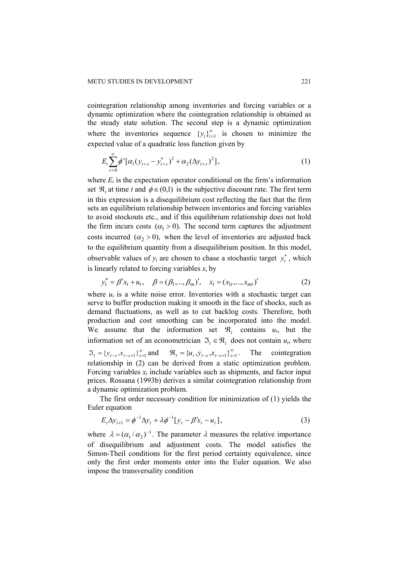cointegration relationship among inventories and forcing variables or a dynamic optimization where the cointegration relationship is obtained as the steady state solution. The second step is a dynamic optimization where the inventories sequence  ${y_t}_{t=1}^{\infty}$  is chosen to minimize the expected value of a quadratic loss function given by

$$
E_{t} \sum_{s=0}^{\infty} \phi^{s} [\alpha_{1} (y_{t+s} - y_{t+s}^{*})^{2} + \alpha_{2} (\Delta y_{t+s})^{2}], \qquad (1)
$$

where  $E_t$  is the expectation operator conditional on the firm's information set  $\mathfrak{R}_t$  at time *t* and  $\phi \in (0,1)$  is the subjective discount rate. The first term in this expression is a disequilibrium cost reflecting the fact that the firm sets an equilibrium relationship between inventories and forcing variables to avoid stockouts etc., and if this equilibrium relationship does not hold the firm incurs costs  $(\alpha_1 > 0)$ . The second term captures the adjustment costs incurred  $(\alpha$ ,  $>$  0), when the level of inventories are adjusted back to the equilibrium quantity from a disequilibrium position. In this model, observable values of  $y_t$  are chosen to chase a stochastic target  $y_t^*$ , which is linearly related to forcing variables  $x_t$  by

$$
y_t^* = \beta' x_t + u_t, \quad \beta = (\beta_1, ..., \beta_m)', \quad x_t = (x_{1t}, ..., x_{mt})'
$$
 (2)

where  $u_t$  is a white noise error. Inventories with a stochastic target can serve to buffer production making it smooth in the face of shocks, such as demand fluctuations, as well as to cut backlog costs. Therefore, both production and cost smoothing can be incorporated into the model. We assume that the information set  $\Re$ , contains  $u_t$ , but the information set of an econometrician  $\mathfrak{T}_t \in \mathfrak{R}_t$  does not contain  $u_t$ , where  $\mathfrak{T}_t = \{y_{t-s}, x_{t-s+1}\}_{s=1}^{\infty}$  and  $\mathfrak{R}_t = \{u_t, y_{t-s}, x_{t-s+1}\}_{s=1}^{\infty}$ . The cointegration relationship in (2) can be derived from a static optimization problem. Forcing variables  $x_t$  include variables such as shipments, and factor input prices. Rossana (1993b) derives a similar cointegration relationship from a dynamic optimization problem.

The first order necessary condition for minimization of (1) yields the Euler equation

$$
E_t \Delta y_{t+1} = \phi^{-1} \Delta y_t + \lambda \phi^{-1} [y_t - \beta' x_t - u_t],
$$
\n(3)

where  $\lambda = (\alpha_1 / \alpha_2)^{-1}$ . The parameter  $\lambda$  measures the relative importance of disequilibrium and adjustment costs. The model satisfies the Simon-Theil conditions for the first period certainty equivalence, since only the first order moments enter into the Euler equation. We also impose the transversality condition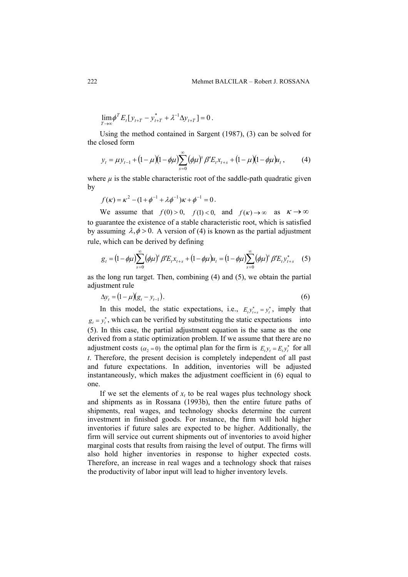$$
\lim_{T \to \infty} \phi^T E_t [y_{t+T} - y_{t+T}^* + \lambda^{-1} \Delta y_{t+T}] = 0.
$$

Using the method contained in Sargent (1987), (3) can be solved for the closed form

$$
y_t = \mu y_{t-1} + (1 - \mu)(1 - \phi\mu) \sum_{s=0}^{\infty} (\phi\mu)^s \beta' E_t x_{t+s} + (1 - \mu)(1 - \phi\mu) u_t, \qquad (4)
$$

where  $\mu$  is the stable characteristic root of the saddle-path quadratic given by

 $f(\kappa) = \kappa^2 - (1 + \phi^{-1} + \lambda \phi^{-1}) \kappa + \phi^{-1} = 0$ .

We assume that  $f(0) > 0$ ,  $f(1) < 0$ , and  $f(\kappa) \to \infty$  as  $\kappa \to \infty$ to guarantee the existence of a stable characteristic root, which is satisfied by assuming  $\lambda, \phi > 0$ . A version of (4) is known as the partial adjustment rule, which can be derived by defining

$$
g_{t} = (1 - \phi\mu) \sum_{s=0}^{\infty} (\phi\mu)^{s} \beta' E_{t} x_{t+s} + (1 - \phi\mu) u_{t} = (1 - \phi\mu) \sum_{s=0}^{\infty} (\phi\mu)^{s} \beta' E_{t} y_{t+s}^{*} \quad (5)
$$

as the long run target. Then, combining (4) and (5), we obtain the partial adjustment rule

$$
\Delta y_t = (1 - \mu)(g_t - y_{t-1}). \tag{6}
$$

In this model, the static expectations, i.e.,  $E_t y_{t+s}^* = y_t^*$ , imply that  $g_t = y_t^*$ , which can be verified by substituting the static expectations into (5). In this case, the partial adjustment equation is the same as the one derived from a static optimization problem. If we assume that there are no adjustment costs ( $\alpha_2 = 0$ ) the optimal plan for the firm is  $E_t y_t = E_t y_t^*$  for all *t*. Therefore, the present decision is completely independent of all past and future expectations. In addition, inventories will be adjusted instantaneously, which makes the adjustment coefficient in (6) equal to one.

If we set the elements of  $x_t$  to be real wages plus technology shock and shipments as in Rossana (1993b), then the entire future paths of shipments, real wages, and technology shocks determine the current investment in finished goods. For instance, the firm will hold higher inventories if future sales are expected to be higher. Additionally, the firm will service out current shipments out of inventories to avoid higher marginal costs that results from raising the level of output. The firms will also hold higher inventories in response to higher expected costs. Therefore, an increase in real wages and a technology shock that raises the productivity of labor input will lead to higher inventory levels.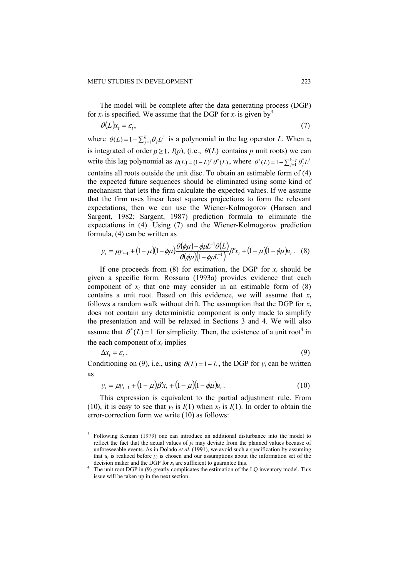The model will be complete after the data generating process (DGP) for  $x_t$  is specified. We assume that the DGP for  $x_t$  is given by<sup>3</sup>

$$
\theta(L)x_t = \varepsilon_t,\tag{7}
$$

where  $\theta(L) = 1 - \sum_{j=1}^{k} \theta_j L^j$  is a polynomial in the lag operator *L*. When  $x_t$ is integrated of order  $p \ge 1$ ,  $I(p)$ , (i.e.,  $\theta(L)$  contains *p* unit roots) we can write this lag polynomial as  $\theta(L) = (1 - L)^p \theta^*(L)$ , where  $\theta^*(L) = 1 - \sum_{j=1}^{k-p} \theta^*_j L^j$ contains all roots outside the unit disc. To obtain an estimable form of (4) the expected future sequences should be eliminated using some kind of mechanism that lets the firm calculate the expected values. If we assume that the firm uses linear least squares projections to form the relevant expectations, then we can use the Wiener-Kolmogorov (Hansen and Sargent, 1982; Sargent, 1987) prediction formula to eliminate the expectations in (4). Using (7) and the Wiener-Kolmogorov prediction formula, (4) can be written as

$$
y_t = \mu y_{t-1} + (1 - \mu)(1 - \phi\mu) \frac{\theta(\phi\mu) - \phi\mu L^{-1}\theta(L)}{\theta(\phi\mu)(1 - \phi\mu L^{-1})} \beta' x_t + (1 - \mu)(1 - \phi\mu)u_t. \quad (8)
$$

If one proceeds from (8) for estimation, the DGP for  $x_t$  should be given a specific form. Rossana (1993a) provides evidence that each component of  $x_t$  that one may consider in an estimable form of  $(8)$ contains a unit root. Based on this evidence, we will assume that  $x_t$ follows a random walk without drift. The assumption that the DGP for  $x_t$ does not contain any deterministic component is only made to simplify the presentation and will be relaxed in Sections 3 and 4. We will also assume that  $\theta^*(L) = 1$  for simplicity. Then, the existence of a unit root<sup>4</sup> in the each component of  $x_t$  implies

$$
\Delta x_t = \varepsilon_t \,. \tag{9}
$$

Conditioning on (9), i.e., using  $\theta(L) = 1 - L$ , the DGP for  $y_t$  can be written as

$$
y_t = \mu y_{t-1} + (1 - \mu)\beta' x_t + (1 - \mu)(1 - \phi\mu)u_t.
$$
 (10)

This expression is equivalent to the partial adjustment rule. From (10), it is easy to see that  $y_t$  is  $I(1)$  when  $x_t$  is  $I(1)$ . In order to obtain the error-correction form we write (10) as follows:

<sup>3</sup> Following Kennan (1979) one can introduce an additional disturbance into the model to reflect the fact that the actual values of  $y_t$  may deviate from the planned values because of unforeseeable events. As in Dolado *et al*. (1991), we avoid such a specification by assuming that  $u_t$  is realized before  $y_t$  is chosen and our assumptions about the information set of the decision maker and the DGP for  $x_t$  are sufficient to guarantee this.

The unit root DGP in (9) greatly complicates the estimation of the LQ inventory model. This issue will be taken up in the next section.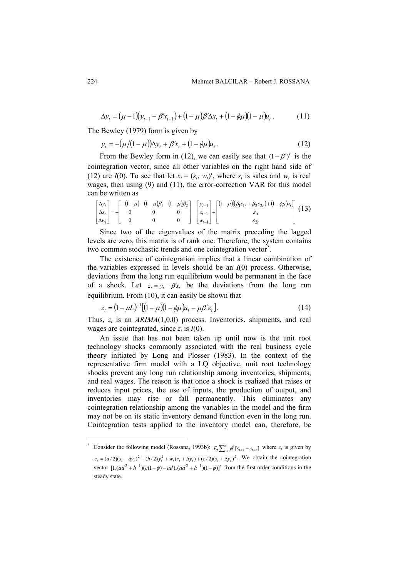$$
\Delta y_t = (\mu - 1)(y_{t-1} - \beta' x_{t-1}) + (1 - \mu)\beta' \Delta x_t + (1 - \phi \mu)(1 - \mu)u_t.
$$
 (11)

The Bewley (1979) form is given by

$$
y_t = -(\mu/(1 - \mu))\Delta y_t + \beta' x_t + (1 - \phi\mu)u_t.
$$
 (12)

From the Bewley form in (12), we can easily see that  $(1 - \beta')'$  is the cointegration vector, since all other variables on the right hand side of (12) are *I*(0). To see that let  $x_t = (s_t, w_t)'$ , where  $s_t$  is sales and  $w_t$  is real wages, then using (9) and (11), the error-correction VAR for this model can be written as

$$
\begin{bmatrix}\n\Delta y_t \\
\Delta s_t \\
\Delta w_t\n\end{bmatrix} = \begin{bmatrix}\n-(1-\mu) & (1-\mu)\beta_1 & (1-\mu)\beta_2 \\
0 & 0 & 0 \\
0 & 0 & 0\n\end{bmatrix} \begin{bmatrix}\ny_{t-1} \\
s_{t-1} \\
w_{t-1}\n\end{bmatrix} + \begin{bmatrix}\n(1-\mu)[(\beta_1\varepsilon_{1t} + \beta_2\varepsilon_{2t}) + (1-\phi\mu)\mu_t] \\
\varepsilon_{1t} \\
\varepsilon_{2t}\n\end{bmatrix}
$$
(13)

Since two of the eigenvalues of the matrix preceding the lagged levels are zero, this matrix is of rank one. Therefore, the system contains two common stochastic trends and one cointegration vector<sup>5</sup>.

The existence of cointegration implies that a linear combination of the variables expressed in levels should be an *I*(0) process. Otherwise, deviations from the long run equilibrium would be permanent in the face of a shock. Let  $z_1 = y_1 - \beta' x_1$  be the deviations from the long run equilibrium. From (10), it can easily be shown that

$$
z_{t} = (1 - \mu L)^{-1} [(1 - \mu)(1 - \phi \mu)u_{t} - \mu \beta' \varepsilon_{t}].
$$
\n(14)

Thus,  $z_t$  is an  $ARIMA(1,0,0)$  process. Inventories, shipments, and real wages are cointegrated, since  $z_t$  is  $I(0)$ .

An issue that has not been taken up until now is the unit root technology shocks commonly associated with the real business cycle theory initiated by Long and Plosser (1983). In the context of the representative firm model with a LQ objective, unit root technology shocks prevent any long run relationship among inventories, shipments, and real wages. The reason is that once a shock is realized that raises or reduces input prices, the use of inputs, the production of output, and inventories may rise or fall permanently. This eliminates any cointegration relationship among the variables in the model and the firm may not be on its static inventory demand function even in the long run. Cointegration tests applied to the inventory model can, therefore, be

<sup>&</sup>lt;sup>5</sup> Consider the following model (Rossana, 1993b):  $E_t \sum_{s=0}^{\infty} \phi^s [s_{t+s} - c_{t+s}]$  where  $c_t$  is given by  $c_t = (a/2)(s_t - dy_t)^2 + (h/2)y_t^2 + w_t(s_t + \Delta y_t) + (c/2)(s_t + \Delta y_t)^2$ . We obtain the cointegration vector  $[1, (ad^2 + h^{-1})(c(1 - \phi) - ad), (ad^2 + h^{-1})(1 - \phi)]'$  from the first order conditions in the steady state.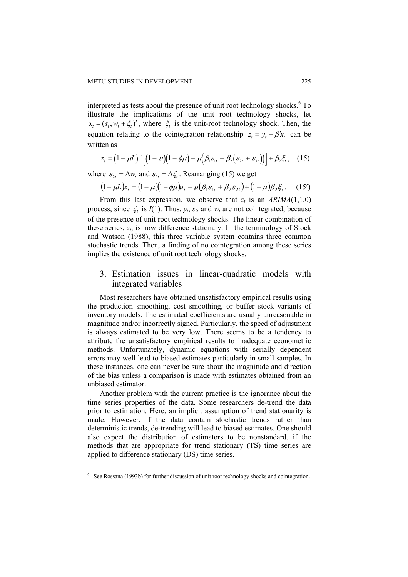interpreted as tests about the presence of unit root technology shocks.<sup>6</sup> To illustrate the implications of the unit root technology shocks, let  $x_t = (s_t, w_t + \xi_t)'$ , where  $\xi_t$  is the unit-root technology shock. Then, the equation relating to the cointegration relationship  $z_t = y_t - \beta' x_t$  can be written as

$$
z_{t} = (1 - \mu L)^{-1} [(1 - \mu)(1 - \phi \mu) - \mu (\beta_{1} \varepsilon_{1t} + \beta_{2} (\varepsilon_{2t} + \varepsilon_{3t}))] + \beta_{2} \xi_{t}, \quad (15)
$$

where  $\varepsilon_{2t} = \Delta w_t$  and  $\varepsilon_{3t} = \Delta \xi_t$ . Rearranging (15) we get

$$
(1 - \mu L)z_t = (1 - \mu)(1 - \phi \mu)u_t - \mu(\beta_1 \varepsilon_{1t} + \beta_2 \varepsilon_{2t}) + (1 - \mu)\beta_2 \xi_t.
$$
 (15')

From this last expression, we observe that  $z_t$  is an  $ARIMA(1,1,0)$ process, since  $\xi$  is *I*(1). Thus,  $y_t$ ,  $s_t$ , and  $w_t$  are not cointegrated, because of the presence of unit root technology shocks. The linear combination of these series,  $z_t$ , is now difference stationary. In the terminology of Stock and Watson (1988), this three variable system contains three common stochastic trends. Then, a finding of no cointegration among these series implies the existence of unit root technology shocks.

## 3. Estimation issues in linear-quadratic models with integrated variables

Most researchers have obtained unsatisfactory empirical results using the production smoothing, cost smoothing, or buffer stock variants of inventory models. The estimated coefficients are usually unreasonable in magnitude and/or incorrectly signed. Particularly, the speed of adjustment is always estimated to be very low. There seems to be a tendency to attribute the unsatisfactory empirical results to inadequate econometric methods. Unfortunately, dynamic equations with serially dependent errors may well lead to biased estimates particularly in small samples. In these instances, one can never be sure about the magnitude and direction of the bias unless a comparison is made with estimates obtained from an unbiased estimator.

Another problem with the current practice is the ignorance about the time series properties of the data. Some researchers de-trend the data prior to estimation. Here, an implicit assumption of trend stationarity is made. However, if the data contain stochastic trends rather than deterministic trends, de-trending will lead to biased estimates. One should also expect the distribution of estimators to be nonstandard, if the methods that are appropriate for trend stationary (TS) time series are applied to difference stationary (DS) time series.

<sup>6</sup> See Rossana (1993b) for further discussion of unit root technology shocks and cointegration.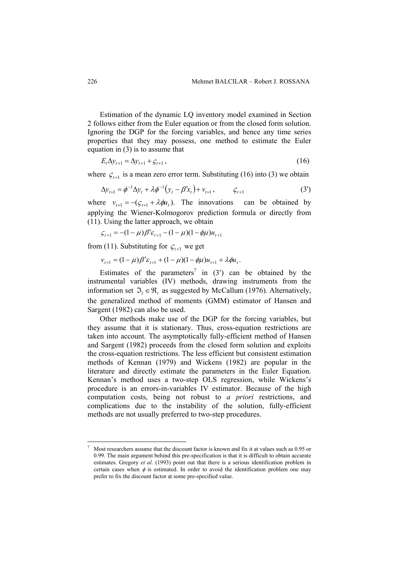Estimation of the dynamic LQ inventory model examined in Section 2 follows either from the Euler equation or from the closed form solution. Ignoring the DGP for the forcing variables, and hence any time series properties that they may possess, one method to estimate the Euler equation in (3) is to assume that

$$
E_t \Delta y_{t+1} = \Delta y_{t+1} + \zeta_{t+1},
$$
\n(16)

where  $\zeta_{t+1}$  is a mean zero error term. Substituting (16) into (3) we obtain

$$
\Delta y_{t+1} = \phi^{-1} \Delta y_t + \lambda \phi^{-1} (y_t - \beta' x_t) + v_{t+1}, \qquad \mathcal{S}_{t+1} \tag{3'}
$$

where  $v_{t+1} = -(f_{t+1} + \lambda \phi u_t)$ . The innovations can be obtained by applying the Wiener-Kolmogorov prediction formula or directly from (11). Using the latter approach, we obtain

$$
\varsigma_{t+1} = -(1 - \mu) \beta' \varepsilon_{t+1} - (1 - \mu)(1 - \phi \mu) u_{t+1}
$$

from (11). Substituting for  $\zeta_{t+1}$  we get

 $v_{t+1} = (1 - \mu)\beta' \varepsilon_{t+1} + (1 - \mu)(1 - \phi\mu)u_{t+1} + \lambda \phi u_t$ 

Estimates of the parameters<sup>7</sup> in  $(3')$  can be obtained by the instrumental variables (IV) methods, drawing instruments from the information set  $\mathfrak{I}_t \in \mathfrak{R}_t$  as suggested by McCallum (1976). Alternatively, the generalized method of moments (GMM) estimator of Hansen and Sargent (1982) can also be used.

Other methods make use of the DGP for the forcing variables, but they assume that it is stationary. Thus, cross-equation restrictions are taken into account. The asymptotically fully-efficient method of Hansen and Sargent (1982) proceeds from the closed form solution and exploits the cross-equation restrictions. The less efficient but consistent estimation methods of Kennan (1979) and Wickens (1982) are popular in the literature and directly estimate the parameters in the Euler Equation. Kennan's method uses a two-step OLS regression, while Wickens's procedure is an errors-in-variables IV estimator. Because of the high computation costs, being not robust to *a priori* restrictions, and complications due to the instability of the solution, fully-efficient methods are not usually preferred to two-step procedures.

<sup>7</sup> Most researchers assume that the discount factor is known and fix it at values such as 0.95 or 0.99. The main argument behind this pre-specification is that it is difficult to obtain accurate estimates. Gregory *et al*. (1993) point out that there is a serious identification problem in certain cases when  $\phi$  is estimated. In order to avoid the identification problem one may prefer to fix the discount factor at some pre-specified value.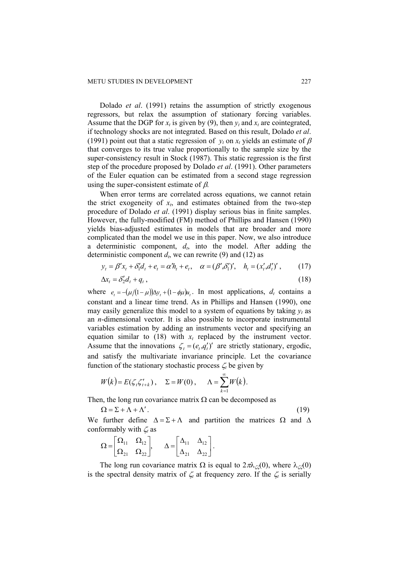Dolado *et al*. (1991) retains the assumption of strictly exogenous regressors, but relax the assumption of stationary forcing variables. Assume that the DGP for  $x_t$  is given by (9), then  $y_t$  and  $x_t$  are cointegrated, if technology shocks are not integrated. Based on this result, Dolado *et al*. (1991) point out that a static regression of  $y_t$  on  $x_t$  yields an estimate of  $\beta$ that converges to its true value proportionally to the sample size by the super-consistency result in Stock (1987). This static regression is the first step of the procedure proposed by Dolado *et al*. (1991). Other parameters of the Euler equation can be estimated from a second stage regression using the super-consistent estimate of  $\beta$ .

When error terms are correlated across equations, we cannot retain the strict exogeneity of  $x_t$ , and estimates obtained from the two-step procedure of Dolado *et al*. (1991) display serious bias in finite samples. However, the fully-modified (FM) method of Phillips and Hansen (1990) yields bias-adjusted estimates in models that are broader and more complicated than the model we use in this paper. Now, we also introduce a deterministic component,  $d_t$ , into the model. After adding the deterministic component  $d<sub>t</sub>$ , we can rewrite (9) and (12) as

$$
y_t = \beta' x_t + \delta'_1 d_t + e_t = \alpha' h_t + e_t, \quad \alpha = (\beta', \delta'_1)', \quad h_t = (x'_t, d'_t)', \tag{17}
$$

$$
\Delta x_t = \delta_2' d_t + q_t, \qquad (18)
$$

where  $e_t = -(\mu/(1 - \mu))\Delta y_t + (1 - \phi\mu)\mu_t$ . In most applications,  $d_t$  contains a constant and a linear time trend. As in Phillips and Hansen (1990), one may easily generalize this model to a system of equations by taking  $y_t$  as an *n*-dimensional vector. It is also possible to incorporate instrumental variables estimation by adding an instruments vector and specifying an equation similar to  $(18)$  with  $x_t$  replaced by the instrument vector. Assume that the innovations  $\zeta_i = (e_i, q'_i)'$  are strictly stationary, ergodic, and satisfy the multivariate invariance principle. Let the covariance function of the stationary stochastic process ζ*t* be given by

$$
W(k) = E(\zeta_1 \zeta_{t+k}'), \quad \Sigma = W(0), \quad \Lambda = \sum_{k=1}^{\infty} W(k).
$$

Then, the long run covariance matrix  $\Omega$  can be decomposed as

$$
\Omega = \Sigma + \Lambda + \Lambda'.\tag{19}
$$

We further define  $\Delta = \Sigma + \Lambda$  and partition the matrices  $\Omega$  and  $\Delta$ conformably with ζ*t* as

$$
\Omega = \begin{bmatrix} \Omega_{11} & \Omega_{12} \\ \Omega_{21} & \Omega_{22} \end{bmatrix}, \quad \Delta = \begin{bmatrix} \Delta_{11} & \Delta_{12} \\ \Delta_{21} & \Delta_{22} \end{bmatrix}.
$$

The long run covariance matrix  $\Omega$  is equal to  $2\pi\lambda_{\zeta}(0)$ , where  $\lambda_{\zeta}(0)$ is the spectral density matrix of  $\zeta_t$  at frequency zero. If the  $\zeta_t$  is serially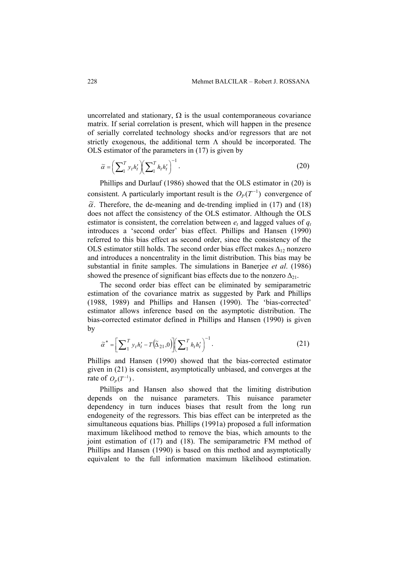uncorrelated and stationary,  $\Omega$  is the usual contemporaneous covariance matrix. If serial correlation is present, which will happen in the presence of serially correlated technology shocks and/or regressors that are not strictly exogenous, the additional term Λ should be incorporated. The OLS estimator of the parameters in (17) is given by

$$
\widetilde{\alpha} = \left(\sum_{1}^{T} y_{t} h_{t}'\right) \left(\sum_{1}^{T} h_{t} h_{t}'\right)^{-1}.
$$
\n(20)

Phillips and Durlauf (1986) showed that the OLS estimator in (20) is consistent. A particularly important result is the  $O_p(T^{-1})$  convergence of  $\tilde{\alpha}$ . Therefore, the de-meaning and de-trending implied in (17) and (18) does not affect the consistency of the OLS estimator. Although the OLS estimator is consistent, the correlation between  $e_t$  and lagged values of  $q_t$ introduces a 'second order' bias effect. Phillips and Hansen (1990) referred to this bias effect as second order, since the consistency of the OLS estimator still holds. The second order bias effect makes  $\Delta_{12}$  nonzero and introduces a noncentrality in the limit distribution. This bias may be substantial in finite samples. The simulations in Banerjee *et al*. (1986) showed the presence of significant bias effects due to the nonzero  $\Delta_{21}$ .

The second order bias effect can be eliminated by semiparametric estimation of the covariance matrix as suggested by Park and Phillips (1988, 1989) and Phillips and Hansen (1990). The 'bias-corrected' estimator allows inference based on the asymptotic distribution. The bias-corrected estimator defined in Phillips and Hansen (1990) is given by

$$
\widetilde{\alpha}^* = \left[\sum_{1}^{T} y_t h_t' - T(\widetilde{\Delta}_{21}, 0)\right] \left(\sum_{1}^{T} h_t h_t'\right)^{-1}.
$$
\n(21)

Phillips and Hansen (1990) showed that the bias-corrected estimator given in (21) is consistent, asymptotically unbiased, and converges at the rate of  $O_p(T^{-1})$ .

Phillips and Hansen also showed that the limiting distribution depends on the nuisance parameters. This nuisance parameter dependency in turn induces biases that result from the long run endogeneity of the regressors. This bias effect can be interpreted as the simultaneous equations bias. Phillips (1991a) proposed a full information maximum likelihood method to remove the bias, which amounts to the joint estimation of (17) and (18). The semiparametric FM method of Phillips and Hansen (1990) is based on this method and asymptotically equivalent to the full information maximum likelihood estimation.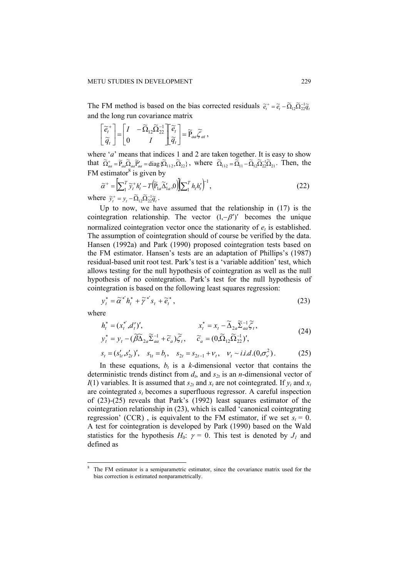The FM method is based on the bias corrected residuals  $\tilde{e}_t^+ = \tilde{e}_t - \tilde{\Omega}_{12} \tilde{\Omega}_{22}^{-1} \tilde{q}_t$ and the long run covariance matrix

$$
\begin{bmatrix} \widetilde{e}_t^+ \\ \widetilde{q}_t^- \end{bmatrix} = \begin{bmatrix} I & -\widetilde{\Omega}_{12} \widetilde{\Omega}_{22}^{-1} \\ 0 & I \end{bmatrix} \begin{bmatrix} \widetilde{e}_t \\ \widetilde{q}_t \end{bmatrix} = \widetilde{P}_{aa} \widetilde{\zeta}_{at} ,
$$

where '*a*' means that indices 1 and 2 are taken together. It is easy to show that  $\widetilde{\Omega}_{aa}^+ = \widetilde{P}_{aa} \widetilde{\Omega}_{aa} \widetilde{P}_{aa}' = \text{diag} \{\widetilde{\Omega}_{112}, \widetilde{\Omega}_{22}\}$ , where  $\widetilde{\Omega}_{112} = \widetilde{\Omega}_{11} - \widetilde{\Omega}_{12} \widetilde{\Omega}_{21} - \widetilde{\Omega}_{12}$ . Then, the FM estimator $8$  is given by

$$
\widetilde{\alpha}^{+} = \left[\sum_{1}^{T} \widetilde{\nu}_{t}^{+} h_{t}' - T \left(\widetilde{P}_{1a} \widetilde{\Delta}_{1a}^{t}, 0\right) \right] \left[\sum_{1}^{T} h_{t} h_{t}'\right]^{-1},\tag{22}
$$

where  $\widetilde{y}_t^+ = y_t - \widetilde{\Omega}_{12} \widetilde{\Omega}_{22}^{-1} \widetilde{q}_t$ .

Up to now, we have assumed that the relationship in (17) is the cointegration relationship. The vector  $(1, -\beta')'$  becomes the unique normalized cointegration vector once the stationarity of  $e_t$  is established. The assumption of cointegration should of course be verified by the data. Hansen (1992a) and Park (1990) proposed cointegration tests based on the FM estimator. Hansen's tests are an adaptation of Phillips's (1987) residual-based unit root test. Park's test is a 'variable addition' test, which allows testing for the null hypothesis of cointegration as well as the null hypothesis of no cointegration. Park's test for the null hypothesis of cointegration is based on the following least squares regression:

$$
y_t^* = \widetilde{\alpha}^{*'} h_t^* + \widetilde{\gamma}^{*'} s_t + \widetilde{e}_t^*,
$$
\n(23)

where

 $\frac{1}{8}$ 

$$
h_t^* = (x_t^*, d_t')', \qquad x_t^* = x_t - \widetilde{\Delta}_{2a} \widetilde{\Sigma}_{aa}^{-1} \widetilde{\zeta}_t,
$$
  

$$
y_t^* = y_t - (\widetilde{\beta} \widetilde{\Delta}_{2a} \widetilde{\Sigma}_{aa}^{-1} + \widetilde{\epsilon}_a) \widetilde{\zeta}_t, \qquad \widetilde{\epsilon}_a = (0, \widetilde{\Omega}_{12} \widetilde{\Omega}_{22}^{-1})',
$$
 (24)

$$
y_t^* = y_t - (\widetilde{\beta}\widetilde{\Delta}_{2a}\widetilde{\Sigma}_{aa}^{-1} + \widetilde{c}_a)\widetilde{\zeta}_t, \quad \widetilde{c}_a = (0,\widetilde{\Omega}_{12}\widetilde{\Omega}_{22}^{-1})',
$$
  

$$
z = (z', z')' - \widetilde{c}_a = b, \quad z = \widetilde{c}_a + \widetilde{c}_a, \quad \widetilde{c}_a = (0,\widetilde{\Omega}_{12}\widetilde{\Omega}_{22}^{-1})',
$$
 (25)

$$
s_t = (s'_{1t}, s'_{2t})', \quad s_{1t} = b_t, \quad s_{2t} = s_{2t-1} + v_t, \quad v_t \sim i.i.d. (0, \sigma_v^2). \tag{25}
$$

In these equations,  $b_t$  is a *k*-dimensional vector that contains the deterministic trends distinct from  $d_t$ , and  $s_t$  is an *n*-dimensional vector of *I*(1) variables. It is assumed that  $s_{2t}$  and  $x_t$  are not cointegrated. If  $y_t$  and  $x_t$ are cointegrated  $s_t$  becomes a superfluous regressor. A careful inspection of (23)-(25) reveals that Park's (1992) least squares estimator of the cointegration relationship in (23), which is called 'canonical cointegrating regression' (CCR), is equivalent to the FM estimator, if we set  $s_t = 0$ . A test for cointegration is developed by Park (1990) based on the Wald statistics for the hypothesis  $H_0$ :  $\gamma = 0$ . This test is denoted by  $J_1$  and defined as

The FM estimator is a semiparametric estimator, since the covariance matrix used for the bias correction is estimated nonparametrically.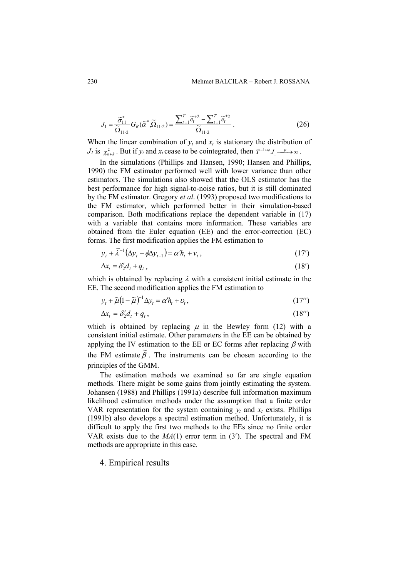$$
J_1 = \frac{\widetilde{\sigma}_{11}^*}{\widetilde{\Omega}_{11\cdot 2}} G_B(\widetilde{\alpha}^*, \widetilde{\Omega}_{11\cdot 2}) = \frac{\sum_{t=1}^T \widetilde{e}_t^{*2} - \sum_{t=1}^T \widetilde{e}_t^{*2}}{\widetilde{\Omega}_{11\cdot 2}}.
$$
\n(26)

When the linear combination of  $y_t$  and  $x_t$  is stationary the distribution of *J<sub>1</sub>* is  $\chi^2_{n+k}$ . But if  $y_t$  and  $x_t$  cease to be cointegrated, then  $T^{-1+\psi} J_1 \xrightarrow{p} \infty$ .

In the simulations (Phillips and Hansen, 1990; Hansen and Phillips, 1990) the FM estimator performed well with lower variance than other estimators. The simulations also showed that the OLS estimator has the best performance for high signal-to-noise ratios, but it is still dominated by the FM estimator. Gregory *et al*. (1993) proposed two modifications to the FM estimator, which performed better in their simulation-based comparison. Both modifications replace the dependent variable in (17) with a variable that contains more information. These variables are obtained from the Euler equation (EE) and the error-correction (EC) forms. The first modification applies the FM estimation to

$$
y_t + \widetilde{\lambda}^{-1} \left( \Delta y_t - \phi \Delta y_{t+1} \right) = \alpha' h_t + v_t, \qquad (17')
$$

$$
\Delta x_t = \delta_2' d_t + q_t, \qquad (18')
$$

which is obtained by replacing  $\lambda$  with a consistent initial estimate in the EE. The second modification applies the FM estimation to

$$
y_t + \widetilde{\mu}(1 - \widetilde{\mu})^{-1} \Delta y_t = \alpha' h_t + \nu_t, \qquad (17')
$$

$$
\Delta x_t = \delta_2' d_t + q_t, \qquad (18'')
$$

which is obtained by replacing  $\mu$  in the Bewley form (12) with a consistent initial estimate. Other parameters in the EE can be obtained by applying the IV estimation to the EE or EC forms after replacing  $\beta$  with the FM estimate  $\beta$ . The instruments can be chosen according to the principles of the GMM.

The estimation methods we examined so far are single equation methods. There might be some gains from jointly estimating the system. Johansen (1988) and Phillips (1991a) describe full information maximum likelihood estimation methods under the assumption that a finite order VAR representation for the system containing  $v_t$  and  $x_t$  exists. Phillips (1991b) also develops a spectral estimation method. Unfortunately, it is difficult to apply the first two methods to the EEs since no finite order VAR exists due to the *MA*(1) error term in (3′). The spectral and FM methods are appropriate in this case.

#### 4. Empirical results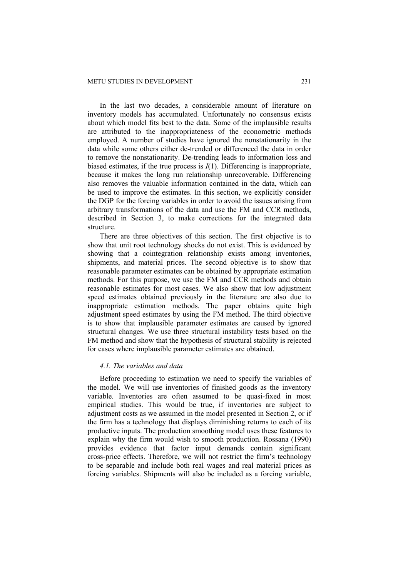In the last two decades, a considerable amount of literature on inventory models has accumulated. Unfortunately no consensus exists about which model fits best to the data. Some of the implausible results are attributed to the inappropriateness of the econometric methods employed. A number of studies have ignored the nonstationarity in the data while some others either de-trended or differenced the data in order to remove the nonstationarity. De-trending leads to information loss and biased estimates, if the true process is *I*(1). Differencing is inappropriate, because it makes the long run relationship unrecoverable. Differencing also removes the valuable information contained in the data, which can be used to improve the estimates. In this section, we explicitly consider the DGP for the forcing variables in order to avoid the issues arising from arbitrary transformations of the data and use the FM and CCR methods, described in Section 3, to make corrections for the integrated data structure.

There are three objectives of this section. The first objective is to show that unit root technology shocks do not exist. This is evidenced by showing that a cointegration relationship exists among inventories, shipments, and material prices. The second objective is to show that reasonable parameter estimates can be obtained by appropriate estimation methods. For this purpose, we use the FM and CCR methods and obtain reasonable estimates for most cases. We also show that low adjustment speed estimates obtained previously in the literature are also due to inappropriate estimation methods. The paper obtains quite high adjustment speed estimates by using the FM method. The third objective is to show that implausible parameter estimates are caused by ignored structural changes. We use three structural instability tests based on the FM method and show that the hypothesis of structural stability is rejected for cases where implausible parameter estimates are obtained.

#### *4.1. The variables and data*

Before proceeding to estimation we need to specify the variables of the model. We will use inventories of finished goods as the inventory variable. Inventories are often assumed to be quasi-fixed in most empirical studies. This would be true, if inventories are subject to adjustment costs as we assumed in the model presented in Section 2, or if the firm has a technology that displays diminishing returns to each of its productive inputs. The production smoothing model uses these features to explain why the firm would wish to smooth production. Rossana (1990) provides evidence that factor input demands contain significant cross-price effects. Therefore, we will not restrict the firm's technology to be separable and include both real wages and real material prices as forcing variables. Shipments will also be included as a forcing variable,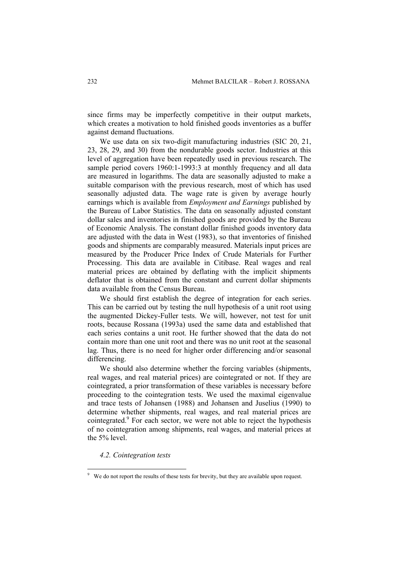since firms may be imperfectly competitive in their output markets, which creates a motivation to hold finished goods inventories as a buffer against demand fluctuations.

We use data on six two-digit manufacturing industries (SIC 20, 21, 23, 28, 29, and 30) from the nondurable goods sector. Industries at this level of aggregation have been repeatedly used in previous research. The sample period covers 1960:1-1993:3 at monthly frequency and all data are measured in logarithms. The data are seasonally adjusted to make a suitable comparison with the previous research, most of which has used seasonally adjusted data. The wage rate is given by average hourly earnings which is available from *Employment and Earnings* published by the Bureau of Labor Statistics. The data on seasonally adjusted constant dollar sales and inventories in finished goods are provided by the Bureau of Economic Analysis. The constant dollar finished goods inventory data are adjusted with the data in West (1983), so that inventories of finished goods and shipments are comparably measured. Materials input prices are measured by the Producer Price Index of Crude Materials for Further Processing. This data are available in Citibase. Real wages and real material prices are obtained by deflating with the implicit shipments deflator that is obtained from the constant and current dollar shipments data available from the Census Bureau.

We should first establish the degree of integration for each series. This can be carried out by testing the null hypothesis of a unit root using the augmented Dickey-Fuller tests. We will, however, not test for unit roots, because Rossana (1993a) used the same data and established that each series contains a unit root. He further showed that the data do not contain more than one unit root and there was no unit root at the seasonal lag. Thus, there is no need for higher order differencing and/or seasonal differencing.

We should also determine whether the forcing variables (shipments, real wages, and real material prices) are cointegrated or not. If they are cointegrated, a prior transformation of these variables is necessary before proceeding to the cointegration tests. We used the maximal eigenvalue and trace tests of Johansen (1988) and Johansen and Juselius (1990) to determine whether shipments, real wages, and real material prices are cointegrated.<sup>9</sup> For each sector, we were not able to reject the hypothesis of no cointegration among shipments, real wages, and material prices at the 5% level.

#### *4.2. Cointegration tests*

<sup>9</sup> We do not report the results of these tests for brevity, but they are available upon request.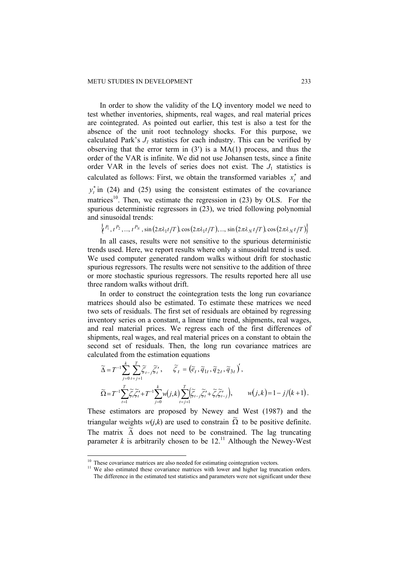In order to show the validity of the LQ inventory model we need to test whether inventories, shipments, real wages, and real material prices are cointegrated. As pointed out earlier, this test is also a test for the absence of the unit root technology shocks. For this purpose, we calculated Park's  $J_1$  statistics for each industry. This can be verified by observing that the error term in  $(3')$  is a MA(1) process, and thus the order of the VAR is infinite. We did not use Johansen tests, since a finite order VAR in the levels of series does not exist. The  $J_1$  statistics is calculated as follows: First, we obtain the transformed variables  $x_t^*$  and  $y_t^*$  in (24) and (25) using the consistent estimates of the covariance matrices<sup>10</sup>. Then, we estimate the regression in  $(23)$  by OLS. For the spurious deterministic regressors in  $(23)$ , we tried following polynomial and sinusoidal trends:

$$
\left\{t^{P_1}, t^{P_2}, ..., t^{P_N}, \sin(2\pi\lambda_1 t/T), \cos(2\pi\lambda_1 t/T), ..., \sin(2\pi\lambda_N t/T), \cos(2\pi\lambda_N t/T)\right\}
$$

In all cases, results were not sensitive to the spurious deterministic trends used. Here, we report results where only a sinusoidal trend is used. We used computer generated random walks without drift for stochastic spurious regressors. The results were not sensitive to the addition of three or more stochastic spurious regressors. The results reported here all use three random walks without drift.

In order to construct the cointegration tests the long run covariance matrices should also be estimated. To estimate these matrices we need two sets of residuals. The first set of residuals are obtained by regressing inventory series on a constant, a linear time trend, shipments, real wages, and real material prices. We regress each of the first differences of shipments, real wages, and real material prices on a constant to obtain the second set of residuals. Then, the long run covariance matrices are calculated from the estimation equations

$$
\widetilde{\Delta} = T^{-1} \sum_{j=0}^{k} \sum_{t=j+1}^{T} \widetilde{\zeta}_{t-j} \widetilde{\zeta}_{t}^{\prime}, \qquad \widetilde{\zeta}_{t} = (\widetilde{e}_{t}, \widetilde{q}_{1t}, \widetilde{q}_{2t}, \widetilde{q}_{3t})^{\prime},
$$
\n
$$
\widetilde{\Omega} = T^{-1} \sum_{t=1}^{T} \widetilde{\zeta}_{t} \widetilde{\zeta}_{t}^{\prime} + T^{-1} \sum_{j=0}^{k} w(j,k) \sum_{t=j+1}^{T} (\widetilde{\zeta}_{t-j} \widetilde{\zeta}_{t}^{\prime} + \widetilde{\zeta}_{t} \widetilde{\zeta}_{t-j}^{\prime}), \qquad w(j,k) = 1 - j/(k+1).
$$

These estimators are proposed by Newey and West (1987) and the triangular weights  $w(j,k)$  are used to constrain  $\tilde{\Omega}$  to be positive definite. The matrix  $\tilde{\Delta}$  does not need to be constrained. The lag truncating parameter  $k$  is arbitrarily chosen to be 12.<sup>11</sup> Although the Newey-West

<sup>&</sup>lt;sup>10</sup> These covariance matrices are also needed for estimating cointegration vectors.

<sup>&</sup>lt;sup>11</sup> We also estimated these covariance matrices with lower and higher lag truncation orders. The difference in the estimated test statistics and parameters were not significant under these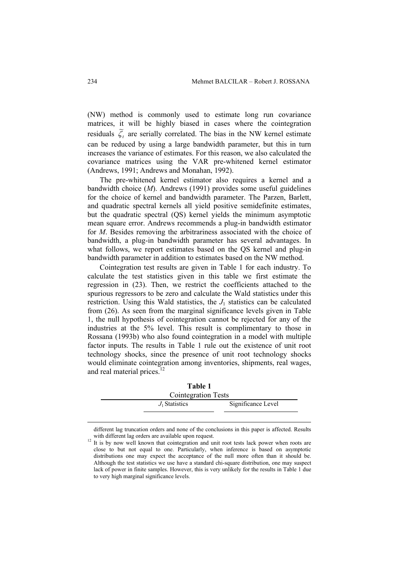(NW) method is commonly used to estimate long run covariance matrices, it will be highly biased in cases where the cointegration residuals  $\zeta_t$  are serially correlated. The bias in the NW kernel estimate can be reduced by using a large bandwidth parameter, but this in turn increases the variance of estimates. For this reason, we also calculated the covariance matrices using the VAR pre-whitened kernel estimator (Andrews, 1991; Andrews and Monahan, 1992).

The pre-whitened kernel estimator also requires a kernel and a bandwidth choice (*M*). Andrews (1991) provides some useful guidelines for the choice of kernel and bandwidth parameter. The Parzen, Barlett, and quadratic spectral kernels all yield positive semidefinite estimates, but the quadratic spectral (QS) kernel yields the minimum asymptotic mean square error. Andrews recommends a plug-in bandwidth estimator for *M*. Besides removing the arbitrariness associated with the choice of bandwidth, a plug-in bandwidth parameter has several advantages. In what follows, we report estimates based on the QS kernel and plug-in bandwidth parameter in addition to estimates based on the NW method.

Cointegration test results are given in Table 1 for each industry. To calculate the test statistics given in this table we first estimate the regression in (23). Then, we restrict the coefficients attached to the spurious regressors to be zero and calculate the Wald statistics under this restriction. Using this Wald statistics, the  $J_1$  statistics can be calculated from (26). As seen from the marginal significance levels given in Table 1, the null hypothesis of cointegration cannot be rejected for any of the industries at the 5% level. This result is complimentary to those in Rossana (1993b) who also found cointegration in a model with multiple factor inputs. The results in Table 1 rule out the existence of unit root technology shocks, since the presence of unit root technology shocks would eliminate cointegration among inventories, shipments, real wages, and real material prices.<sup>12</sup>

| таріе т                    |                    |
|----------------------------|--------------------|
| <b>Cointegration Tests</b> |                    |
| $J_1$ Statistics           | Significance Level |
|                            |                    |

**Table 1** 

different lag truncation orders and none of the conclusions in this paper is affected. Results with different lag orders are available upon request.  $12 \text{ It}$  is by now well known that cointegration and unit root tests lack power when roots are

close to but not equal to one. Particularly, when inference is based on asymptotic distributions one may expect the acceptance of the null more often than it should be. Although the test statistics we use have a standard chi-square distribution, one may suspect lack of power in finite samples. However, this is very unlikely for the results in Table 1 due to very high marginal significance levels.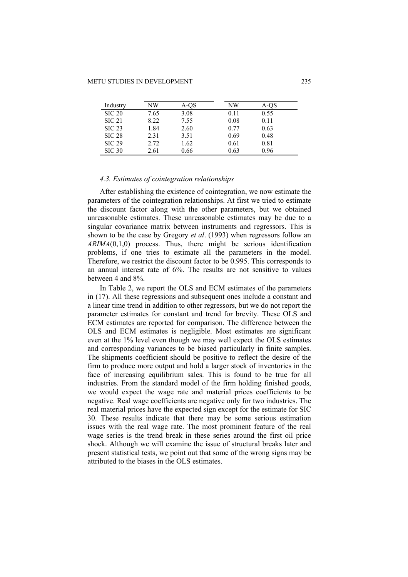| Industry      | NW   | A-OS | NW   | A-OS |
|---------------|------|------|------|------|
| <b>SIC 20</b> | 7.65 | 3.08 | 0.11 | 0.55 |
| <b>SIC 21</b> | 8.22 | 7.55 | 0.08 | 0.11 |
| <b>SIC 23</b> | 1.84 | 2.60 | 0.77 | 0.63 |
| <b>SIC 28</b> | 2.31 | 3.51 | 0.69 | 0.48 |
| <b>SIC 29</b> | 2.72 | 1.62 | 0.61 | 0.81 |
| <b>SIC 30</b> | 2.61 | 0.66 | 0.63 | 0.96 |

#### *4.3. Estimates of cointegration relationships*

After establishing the existence of cointegration, we now estimate the parameters of the cointegration relationships. At first we tried to estimate the discount factor along with the other parameters, but we obtained unreasonable estimates. These unreasonable estimates may be due to a singular covariance matrix between instruments and regressors. This is shown to be the case by Gregory *et al*. (1993) when regressors follow an *ARIMA*(0,1,0) process. Thus, there might be serious identification problems, if one tries to estimate all the parameters in the model. Therefore, we restrict the discount factor to be 0.995. This corresponds to an annual interest rate of 6%. The results are not sensitive to values between 4 and 8%.

In Table 2, we report the OLS and ECM estimates of the parameters in (17). All these regressions and subsequent ones include a constant and a linear time trend in addition to other regressors, but we do not report the parameter estimates for constant and trend for brevity. These OLS and ECM estimates are reported for comparison. The difference between the OLS and ECM estimates is negligible. Most estimates are significant even at the 1% level even though we may well expect the OLS estimates and corresponding variances to be biased particularly in finite samples. The shipments coefficient should be positive to reflect the desire of the firm to produce more output and hold a larger stock of inventories in the face of increasing equilibrium sales. This is found to be true for all industries. From the standard model of the firm holding finished goods, we would expect the wage rate and material prices coefficients to be negative. Real wage coefficients are negative only for two industries. The real material prices have the expected sign except for the estimate for SIC 30. These results indicate that there may be some serious estimation issues with the real wage rate. The most prominent feature of the real wage series is the trend break in these series around the first oil price shock. Although we will examine the issue of structural breaks later and present statistical tests, we point out that some of the wrong signs may be attributed to the biases in the OLS estimates.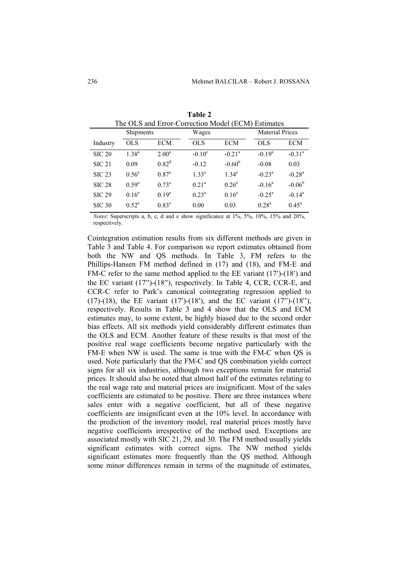| The OLS and Effor-Correction Model (ECM) Estimates |                |                   |                   |                      |                        |                      |
|----------------------------------------------------|----------------|-------------------|-------------------|----------------------|------------------------|----------------------|
|                                                    | Shipments      |                   | Wages             |                      | <b>Material Prices</b> |                      |
| Industry                                           | OLS.           | <b>ECM</b>        | OLS.              | <b>ECM</b>           | <b>OLS</b>             | <b>ECM</b>           |
| <b>SIC 20</b>                                      | $1.38^{a}$     | $2.00^{\rm a}$    | $-0.10^{\circ}$   | $-0.21$ <sup>a</sup> | $-0.19^a$              | $-0.31^{\circ}$      |
| <b>SIC 21</b>                                      | 0.09           | $0.82^d$          | $-0.12$           | $-0.60^{\rm b}$      | $-0.08$                | 0.03                 |
| <b>SIC 23</b>                                      | $0.56^{\circ}$ | $0.87^{\rm a}$    | $1,33^a$          | $1.34^{a}$           | $-0.23^{\rm a}$        | $-0.28$ <sup>a</sup> |
| <b>SIC 28</b>                                      | $0.59^{\rm a}$ | $0.73^{\rm a}$    | 0.21 <sup>a</sup> | $0.26^{\circ}$       | $-0.16^a$              | $-0.06^{\rm b}$      |
| <b>SIC 29</b>                                      | $0.16^a$       | 0.19 <sup>a</sup> | $0.23^{\rm a}$    | $0.16^a$             | $-0.25^{\circ}$        | $-0.14^a$            |
| <b>SIC 30</b>                                      | $0.52^{\rm a}$ | $0.83^{\rm a}$    | 0.00              | 0.03                 | $0.28^{\rm a}$         | $0.45^{\rm a}$       |

**Table 2**  The OLS and Error-Correction Model (ECM) Estimates

*Notes*: Superscripts a, b, c, d and e show significance at 1%, 5%, 10%, 15% and 20%, respectively.

Cointegration estimation results from six different methods are given in Table 3 and Table 4. For comparison we report estimates obtained from both the NW and QS methods. In Table 3, FM refers to the Phillips-Hansen FM method defined in (17) and (18), and FM-E and FM-C refer to the same method applied to the EE variant (17')-(18') and the EC variant (17′′)-(18′′), respectively. In Table 4, CCR, CCR-E, and CCR-C refer to Park's canonical cointegrating regression applied to (17)-(18), the EE variant (17′)-(18′), and the EC variant (17′′)-(18′′), respectively. Results in Table 3 and 4 show that the OLS and ECM estimates may, to some extent, be highly biased due to the second order bias effects. All six methods yield considerably different estimates than the OLS and ECM. Another feature of these results is that most of the positive real wage coefficients become negative particularly with the FM-E when NW is used. The same is true with the FM-C when QS is used. Note particularly that the FM-C and QS combination yields correct signs for all six industries, although two exceptions remain for material prices. It should also be noted that almost half of the estimates relating to the real wage rate and material prices are insignificant. Most of the sales coefficients are estimated to be positive. There are three instances where sales enter with a negative coefficient, but all of these negative coefficients are insignificant even at the 10% level. In accordance with the prediction of the inventory model, real material prices mostly have negative coefficients irrespective of the method used. Exceptions are associated mostly with SIC 21, 29, and 30. The FM method usually yields significant estimates with correct signs. The NW method yields significant estimates more frequently than the QS method. Although some minor differences remain in terms of the magnitude of estimates,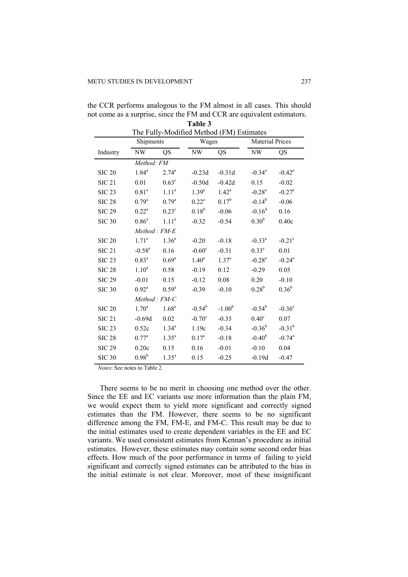| The Fully-Modified Method (FM) Estimates |                     |                   |                   |                |                        |                      |
|------------------------------------------|---------------------|-------------------|-------------------|----------------|------------------------|----------------------|
|                                          | Shipments           |                   | Wages             |                | <b>Material Prices</b> |                      |
| Industry                                 | NW                  | QS                | NW                | QS             | NW                     | QS                   |
|                                          | Method: FM          |                   |                   |                |                        |                      |
| <b>SIC 20</b>                            | $1.84$ <sup>a</sup> | $2.74^{a}$        | $-0.23d$          | $-0.31d$       | $-0.34$ <sup>a</sup>   | $-0.42^a$            |
| <b>SIC 21</b>                            | 0.01                | $0.63^{\circ}$    | $-0.50d$          | $-0.42d$       | 0.15                   | $-0.02$              |
| <b>SIC 23</b>                            | 0.81 <sup>a</sup>   | 1.11 <sup>a</sup> | $1.39^{a}$        | $1.42^a$       | $-0.28$ <sup>a</sup>   | $-0.27$ <sup>a</sup> |
| <b>SIC 28</b>                            | $0.79^{a}$          | $0.79^{a}$        | $0.22^{\text{a}}$ | $0.17^{\rm b}$ | $-0.14^b$              | $-0.06$              |
| <b>SIC 29</b>                            | $0.22^{\rm a}$      | $0.23^{\circ}$    | $0.18^{b}$        | $-0.06$        | $-0.16^d$              | 0.16                 |
| <b>SIC 30</b>                            | $0.86^{a}$          | 1.11 <sup>a</sup> | $-0.32$           | $-0.54$        | 0.30 <sup>b</sup>      | 0.40c                |
|                                          | $Method : FM-E$     |                   |                   |                |                        |                      |
| <b>SIC 20</b>                            | $1.71^a$            | 1.36 <sup>a</sup> | $-0.20$           | $-0.18$        | $-0.33^a$              | $-0.21^{\circ}$      |
| <b>SIC 21</b>                            | $-0.58^{\circ}$     | 0.16              | $-0.60^{\circ}$   | $-0.31$        | 0.33 <sup>e</sup>      | 0.01                 |
| <b>SIC 23</b>                            | $0.83^{a}$          | $0.69^{a}$        | $1.40^a$          | $1.37^{a}$     | $-0.28$ <sup>a</sup>   | $-0.24$ <sup>a</sup> |
| <b>SIC 28</b>                            | $1.10^{a}$          | 0.58              | $-0.19$           | 0.12           | $-0.29$                | 0.05                 |
| <b>SIC 29</b>                            | $-0.01$             | 0.15              | $-0.12$           | 0.08           | 0.20                   | $-0.10$              |
| <b>SIC 30</b>                            | $0.92^{\text{a}}$   | $0.59^{a}$        | $-0.39$           | $-0.10$        | $0.28^{b}$             | $0.36^{\rm b}$       |
|                                          | Method: FM-C        |                   |                   |                |                        |                      |
| <b>SIC 20</b>                            | $1.70^a$            | 1.68 <sup>a</sup> | $-0.54^{\rm b}$   | $-1.00b$       | $-0.54^{\rm b}$        | $-0.36^{\circ}$      |
| <b>SIC 21</b>                            | $-0.69d$            | 0.02              | $-0.70^{\circ}$   | $-0.35$        | $0.40^\circ$           | 0.07                 |
| <b>SIC 23</b>                            | 0.52c               | $1.34^{a}$        | 1.19c             | $-0.34$        | $-0.36^{b}$            | $-0.31^{b}$          |
| <b>SIC 28</b>                            | $0.77^{\rm a}$      | $1.35^{\circ}$    | $0.17^a$          | $-0.18$        | $-0.40b$               | $-0.74$ <sup>a</sup> |
| <b>SIC 29</b>                            | 0.20c               | 0.15              | 0.16              | $-0.01$        | $-0.10$                | 0.04                 |
| <b>SIC 30</b>                            | $0.98^{b}$          | $1.35^{a}$        | 0.15              | $-0.25$        | $-0.19d$               | $-0.47$              |

the CCR performs analogous to the FM almost in all cases. This should not come as a surprise, since the FM and CCR are equivalent estimators. **Table 3** 

*Notes*: See notes to Table 2.

There seems to be no merit in choosing one method over the other. Since the EE and EC variants use more information than the plain FM, we would expect them to yield more significant and correctly signed estimates than the FM. However, there seems to be no significant difference among the FM, FM-E, and FM-C. This result may be due to the initial estimates used to create dependent variables in the EE and EC variants. We used consistent estimates from Kennan's procedure as initial estimates. However, these estimates may contain some second order bias effects. How much of the poor performance in terms of failing to yield significant and correctly signed estimates can be attributed to the bias in the initial estimate is not clear. Moreover, most of these insignificant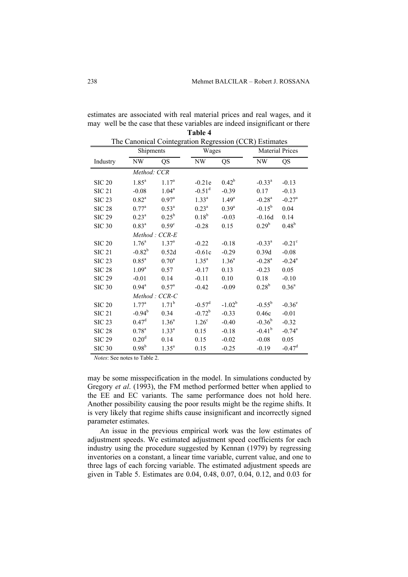| The Canonical Cointegration Regression (CCR) Estimates |                   |                   |                      |            |                          |                        |  |
|--------------------------------------------------------|-------------------|-------------------|----------------------|------------|--------------------------|------------------------|--|
|                                                        | Shipments         |                   |                      | Wages      |                          | <b>Material Prices</b> |  |
| Industry                                               | NW                | QS                | NW                   | QS         | $\ensuremath{\text{NW}}$ | QS                     |  |
|                                                        | Method: CCR       |                   |                      |            |                          |                        |  |
| <b>SIC 20</b>                                          | 1.85 <sup>a</sup> | 1.17 <sup>a</sup> | $-0.21e$             | $0.42^b$   | $-0.33$ <sup>a</sup>     | $-0.13$                |  |
| <b>SIC 21</b>                                          | $-0.08$           | $1.04^a$          | $-0.51$ <sup>d</sup> | $-0.39$    | 0.17                     | $-0.13$                |  |
| <b>SIC 23</b>                                          | $0.82^{\rm a}$    | $0.97^{\text{a}}$ | $1.33^{a}$           | $1.49^{a}$ | $-0.28$ <sup>a</sup>     | $-0.27$ <sup>a</sup>   |  |
| <b>SIC 28</b>                                          | $0.77^{\rm a}$    | $0.53^{\rm a}$    | $0.23^{\rm a}$       | $0.39^{a}$ | $-0.15^{\rm b}$          | 0.04                   |  |
| <b>SIC 29</b>                                          | $0.23^{\rm a}$    | $0.25^{\rm b}$    | $0.18^{b}$           | $-0.03$    | $-0.16d$                 | 0.14                   |  |
| <b>SIC 30</b>                                          | $0.83^{\rm a}$    | $0.59^{\circ}$    | $-0.28$              | 0.15       | $0.29^{\rm b}$           | $0.48^{b}$             |  |
|                                                        | Method: CCR-E     |                   |                      |            |                          |                        |  |
| <b>SIC 20</b>                                          | $1.76^{\circ}$    | $1.37^{a}$        | $-0.22$              | $-0.18$    | $-0.33^{\circ}$          | $-0.21$ <sup>c</sup>   |  |
| <b>SIC 21</b>                                          | $-0.82^{\rm b}$   | 0.52d             | $-0.61c$             | $-0.29$    | 0.39d                    | $-0.08$                |  |
| <b>SIC 23</b>                                          | $0.85^{\rm a}$    | $0.70^{\rm a}$    | $1.35^{\circ}$       | $1.36^{a}$ | $-0.28$ <sup>a</sup>     | $-0.24$ <sup>a</sup>   |  |
| <b>SIC 28</b>                                          | 1.09 <sup>a</sup> | 0.57              | $-0.17$              | 0.13       | $-0.23$                  | 0.05                   |  |
| <b>SIC 29</b>                                          | $-0.01$           | 0.14              | $-0.11$              | 0.10       | 0.18                     | $-0.10$                |  |
| <b>SIC 30</b>                                          | $0.94^{\rm a}$    | $0.57^{\rm a}$    | $-0.42$              | $-0.09$    | $0.28^{b}$               | $0.36^{a}$             |  |
|                                                        | Method: CCR-C     |                   |                      |            |                          |                        |  |
| <b>SIC 20</b>                                          | $1.77^a$          | $1.71^b$          | $-0.57$ <sup>d</sup> | $-1.02^b$  | $-0.55^{\rm b}$          | $-0.36^e$              |  |
| <b>SIC 21</b>                                          | $-0.94^{\rm b}$   | 0.34              | $-0.72^b$            | $-0.33$    | 0.46c                    | $-0.01$                |  |
| <b>SIC 23</b>                                          | $0.47^{\rm d}$    | $1.36^{a}$        | $1.26^{\circ}$       | $-0.40$    | $-0.36^{b}$              | $-0.32$                |  |
| <b>SIC 28</b>                                          | $0.78^{\rm a}$    | $1.33^{a}$        | 0.15                 | $-0.18$    | $-0.41^{\rm b}$          | $-0.74$ <sup>a</sup>   |  |
| <b>SIC 29</b>                                          | 0.20 <sup>d</sup> | 0.14              | 0.15                 | $-0.02$    | $-0.08$                  | 0.05                   |  |
| <b>SIC 30</b>                                          | $0.98^{\rm b}$    | $1.35^{a}$        | 0.15                 | $-0.25$    | $-0.19$                  | $-0.47$ <sup>d</sup>   |  |

estimates are associated with real material prices and real wages, and it may well be the case that these variables are indeed insignificant or there **Table 4** 

*Notes*: See notes to Table 2.

may be some misspecification in the model. In simulations conducted by Gregory *et al*. (1993), the FM method performed better when applied to the EE and EC variants. The same performance does not hold here. Another possibility causing the poor results might be the regime shifts. It is very likely that regime shifts cause insignificant and incorrectly signed parameter estimates.

An issue in the previous empirical work was the low estimates of adjustment speeds. We estimated adjustment speed coefficients for each industry using the procedure suggested by Kennan (1979) by regressing inventories on a constant, a linear time variable, current value, and one to three lags of each forcing variable. The estimated adjustment speeds are given in Table 5. Estimates are 0.04, 0.48, 0.07, 0.04, 0.12, and 0.03 for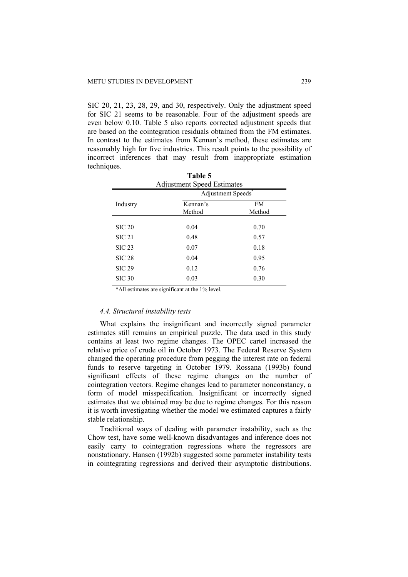SIC 20, 21, 23, 28, 29, and 30, respectively. Only the adjustment speed for SIC 21 seems to be reasonable. Four of the adjustment speeds are even below 0.10. Table 5 also reports corrected adjustment speeds that are based on the cointegration residuals obtained from the FM estimates. In contrast to the estimates from Kennan's method, these estimates are reasonably high for five industries. This result points to the possibility of incorrect inferences that may result from inappropriate estimation techniques.

| Table 5<br><b>Adjustment Speed Estimates</b> |                                |              |  |  |  |  |
|----------------------------------------------|--------------------------------|--------------|--|--|--|--|
|                                              | Adjustment Speeds <sup>*</sup> |              |  |  |  |  |
| Industry                                     | Kennan's<br>Method             | FM<br>Method |  |  |  |  |
| <b>SIC 20</b>                                | 0.04                           | 0.70         |  |  |  |  |
| <b>SIC 21</b>                                | 0.48                           | 0.57         |  |  |  |  |
| <b>SIC 23</b>                                | 0.07                           | 0.18         |  |  |  |  |
| <b>SIC 28</b>                                | 0.04                           | 0.95         |  |  |  |  |
| <b>SIC 29</b>                                | 0.12                           | 0.76         |  |  |  |  |
| <b>SIC 30</b>                                | 0.03                           | 0.30         |  |  |  |  |

\*All estimates are significant at the 1% level.

#### *4.4. Structural instability tests*

What explains the insignificant and incorrectly signed parameter estimates still remains an empirical puzzle. The data used in this study contains at least two regime changes. The OPEC cartel increased the relative price of crude oil in October 1973. The Federal Reserve System changed the operating procedure from pegging the interest rate on federal funds to reserve targeting in October 1979. Rossana (1993b) found significant effects of these regime changes on the number of cointegration vectors. Regime changes lead to parameter nonconstancy, a form of model misspecification. Insignificant or incorrectly signed estimates that we obtained may be due to regime changes. For this reason it is worth investigating whether the model we estimated captures a fairly stable relationship.

Traditional ways of dealing with parameter instability, such as the Chow test, have some well-known disadvantages and inference does not easily carry to cointegration regressions where the regressors are nonstationary. Hansen (1992b) suggested some parameter instability tests in cointegrating regressions and derived their asymptotic distributions.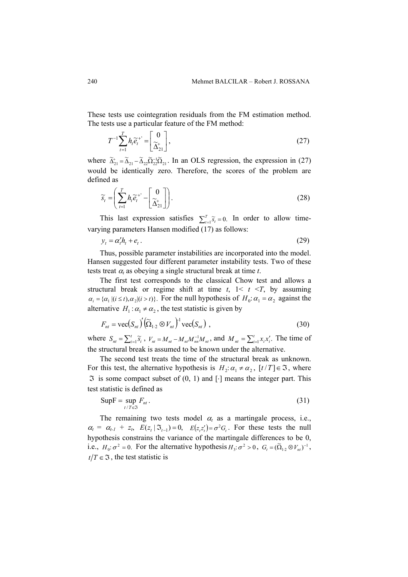These tests use cointegration residuals from the FM estimation method. The tests use a particular feature of the FM method:

$$
T^{-1}\sum_{t=1}^{T} h_t \widetilde{e}_t^{+^*} = \begin{bmatrix} 0\\ \widetilde{\Delta}_{21}^+ \end{bmatrix},\tag{27}
$$

where  $\tilde{\Delta}_{21}^+ = \tilde{\Delta}_{21} - \tilde{\Delta}_{22} \tilde{\Omega}_{21} - \tilde{\Omega}_{21}$ . In an OLS regression, the expression in (27) would be identically zero. Therefore, the scores of the problem are defined as

$$
\widetilde{s}_t = \left(\sum_{t=1}^T h_t \widetilde{e}_t^{+t} - \begin{bmatrix} 0\\ \widetilde{\Delta}_{21}^+ \end{bmatrix}\right). \tag{28}
$$

This last expression satisfies  $\sum_{t=1}^{T} \widetilde{s}_t = 0$ . In order to allow timevarying parameters Hansen modified (17) as follows:

$$
y_t = \alpha_t' h_t + e_t \,. \tag{29}
$$

Thus, possible parameter instabilities are incorporated into the model. Hansen suggested four different parameter instability tests. Two of these tests treat <sup>α</sup>*t* as obeying a single structural break at time *t*.

The first test corresponds to the classical Chow test and allows a structural break or regime shift at time  $t$ ,  $1 < t < T$ , by assuming  $\alpha_i = {\alpha_1 |(i \le t), \alpha_2 |(i > t)}$ . For the null hypothesis of  $H_0: \alpha_1 = \alpha_2$  against the alternative  $H_1$ :  $\alpha_1 \neq \alpha_2$ , the test statistic is given by

$$
F_{nt} = \text{vec}(S_{nt})' \left(\widetilde{\Omega}_{1\cdot 2} \otimes V_{nt}\right)^1 \text{vec}(S_{nt}), \qquad (30)
$$

where  $S_{nt} = \sum_{i=1}^{t} \widetilde{s}_i$ ,  $V_{nt} = M_{nt} - M_{nt} M_{nn}^{-1} M_{nt}$ , and  $M_{nt} = \sum_{i=1}^{t} x_i x_i'$ . The time of the structural break is assumed to be known under the alternative.

The second test treats the time of the structural break as unknown. For this test, the alternative hypothesis is  $H_2: \alpha_1 \neq \alpha_2$ ,  $[t/T] \in \mathfrak{I}$ , where  $\Im$  is some compact subset of  $(0, 1)$  and  $[\cdot]$  means the integer part. This test statistic is defined as

$$
SupF = \sup_{t/T \in \mathfrak{I}} F_{nt}.
$$
 (31)

The remaining two tests model  $\alpha_t$  as a martingale process, i.e.,  $\alpha_t = \alpha_{t-1} + z_t$ ,  $E(z_t | \mathfrak{I}_{t-1}) = 0$ ,  $E(z_t z_t') = \sigma^2 G_t$ . For these tests the null hypothesis constrains the variance of the martingale differences to be 0, i.e.,  $H_0: \sigma^2 = 0$ . For the alternative hypothesis  $H_3: \sigma^2 > 0$ ,  $G_t = (\tilde{\Omega}_{1,2} \otimes V_{nt})^{-1}$ ,  $t/T \in \mathfrak{I}$ , the test statistic is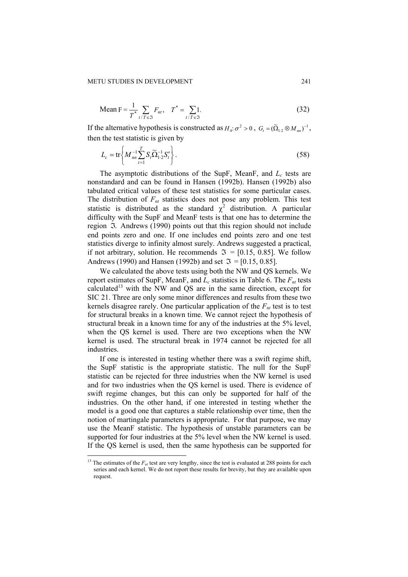Mean F = 
$$
\frac{1}{T^*} \sum_{t/T \in \mathfrak{I}} F_{nt}
$$
,  $T^* = \sum_{t/T \in \mathfrak{I}} 1$ . (32)

If the alternative hypothesis is constructed as  $H_4$ :  $\sigma^2 > 0$ ,  $G_t = (\tilde{\Omega}_{1,2} \otimes M_{nn})^{-1}$ , then the test statistic is given by

$$
L_c = \text{tr}\bigg\{ M_{nn}^{-1} \sum_{t=1}^{T} S_t \widetilde{\Omega}_{1\cdot 2}^{-1} S_t' \bigg\} \,. \tag{58}
$$

The asymptotic distributions of the SupF, MeanF, and *Lc* tests are nonstandard and can be found in Hansen (1992b). Hansen (1992b) also tabulated critical values of these test statistics for some particular cases. The distribution of  $F<sub>nt</sub>$  statistics does not pose any problem. This test statistic is distributed as the standard  $\chi^2$  distribution. A particular difficulty with the SupF and MeanF tests is that one has to determine the region ℑ. Andrews (1990) points out that this region should not include end points zero and one. If one includes end points zero and one test statistics diverge to infinity almost surely. Andrews suggested a practical, if not arbitrary, solution. He recommends  $\Im$  = [0.15, 0.85]. We follow Andrews (1990) and Hansen (1992b) and set  $\Im = [0.15, 0.85]$ .

We calculated the above tests using both the NW and QS kernels. We report estimates of SupF, MeanF, and  $L_c$  statistics in Table 6. The  $F_{nt}$  tests calculated<sup>13</sup> with the NW and QS are in the same direction, except for SIC 21. Three are only some minor differences and results from these two kernels disagree rarely. One particular application of the  $F<sub>nt</sub>$  test is to test for structural breaks in a known time. We cannot reject the hypothesis of structural break in a known time for any of the industries at the 5% level, when the QS kernel is used. There are two exceptions when the NW kernel is used. The structural break in 1974 cannot be rejected for all industries.

If one is interested in testing whether there was a swift regime shift, the SupF statistic is the appropriate statistic. The null for the SupF statistic can be rejected for three industries when the NW kernel is used and for two industries when the QS kernel is used. There is evidence of swift regime changes, but this can only be supported for half of the industries. On the other hand, if one interested in testing whether the model is a good one that captures a stable relationship over time, then the notion of martingale parameters is appropriate. For that purpose, we may use the MeanF statistic. The hypothesis of unstable parameters can be supported for four industries at the 5% level when the NW kernel is used. If the QS kernel is used, then the same hypothesis can be supported for

The estimates of the  $F<sub>nt</sub>$  test are very lengthy, since the test is evaluated at 288 points for each series and each kernel. We do not report these results for brevity, but they are available upon request.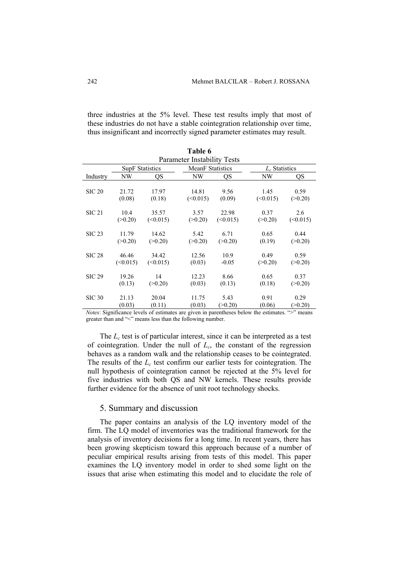three industries at the 5% level. These test results imply that most of these industries do not have a stable cointegration relationship over time, thus insignificant and incorrectly signed parameter estimates may result.

| Table 6<br>Parameter Instability Tests  |                        |                 |                 |                         |                |                                         |  |  |
|-----------------------------------------|------------------------|-----------------|-----------------|-------------------------|----------------|-----------------------------------------|--|--|
|                                         | <b>SupF</b> Statistics |                 |                 | <b>MeanF</b> Statistics |                | $L_c$ Statistics                        |  |  |
| Industry                                | NW                     | QS              | NW              | OS                      | NW             | QS                                      |  |  |
| <b>SIC 20</b>                           | 21.72                  | 17.97           | 14.81           | 9.56                    | 1.45           | 0.59                                    |  |  |
|                                         | (0.08)                 | (0.18)          | (<0.015)        | (0.09)                  | (<0.015)       | (>0.20)                                 |  |  |
| <b>SIC 21</b>                           | 10.4                   | 35.57           | 3.57            | 22.98                   | 0.37           | 2.6                                     |  |  |
|                                         | (>0.20)                | (<0.015)        | (>0.20)         | (<0.015)                | (>0.20)        | (<0.015)                                |  |  |
| <b>SIC 23</b>                           | 11.79                  | 14.62           | 5.42            | 6.71                    | 0.65           | 0.44                                    |  |  |
|                                         | (>0.20)                | (>0.20)         | (>0.20)         | (>0.20)                 | (0.19)         | (>0.20)                                 |  |  |
| <b>SIC 28</b>                           | 46.46                  | 34.42           | 12.56           | 10.9                    | 0.49           | 0.59                                    |  |  |
|                                         | (<0.015)               | (<0.015)        | (0.03)          | $-0.05$                 | (>0.20)        | (>0.20)                                 |  |  |
| <b>SIC 29</b>                           | 19.26                  | 14              | 12.23           | 8.66                    | 0.65           | 0.37                                    |  |  |
|                                         | (0.13)                 | (>0.20)         | (0.03)          | (0.13)                  | (0.18)         | (>0.20)                                 |  |  |
| <b>SIC 30</b><br>$\mathbf{v}$<br>$\sim$ | 21.13<br>(0.03)        | 20.04<br>(0.11) | 11.75<br>(0.03) | 5.43<br>(>0.20)         | 0.91<br>(0.06) | 0.29<br>(>0.20)<br>$\ddot{\phantom{1}}$ |  |  |

*Notes*: Significance levels of estimates are given in parentheses below the estimates. ">" means greater than and "<" means less than the following number.

The  $L_c$  test is of particular interest, since it can be interpreted as a test of cointegration. Under the null of  $L_c$ , the constant of the regression behaves as a random walk and the relationship ceases to be cointegrated. The results of the  $L_c$  test confirm our earlier tests for cointegration. The null hypothesis of cointegration cannot be rejected at the 5% level for five industries with both QS and NW kernels. These results provide further evidence for the absence of unit root technology shocks.

#### 5. Summary and discussion

The paper contains an analysis of the LQ inventory model of the firm. The LQ model of inventories was the traditional framework for the analysis of inventory decisions for a long time. In recent years, there has been growing skepticism toward this approach because of a number of peculiar empirical results arising from tests of this model. This paper examines the LQ inventory model in order to shed some light on the issues that arise when estimating this model and to elucidate the role of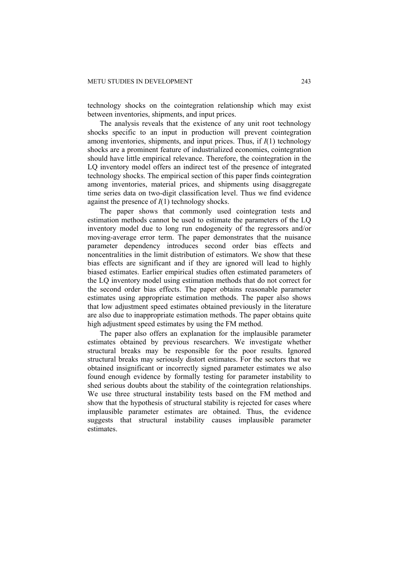technology shocks on the cointegration relationship which may exist between inventories, shipments, and input prices.

The analysis reveals that the existence of any unit root technology shocks specific to an input in production will prevent cointegration among inventories, shipments, and input prices. Thus, if *I*(1) technology shocks are a prominent feature of industrialized economies, cointegration should have little empirical relevance. Therefore, the cointegration in the LQ inventory model offers an indirect test of the presence of integrated technology shocks. The empirical section of this paper finds cointegration among inventories, material prices, and shipments using disaggregate time series data on two-digit classification level. Thus we find evidence against the presence of *I*(1) technology shocks.

The paper shows that commonly used cointegration tests and estimation methods cannot be used to estimate the parameters of the LQ inventory model due to long run endogeneity of the regressors and/or moving-average error term. The paper demonstrates that the nuisance parameter dependency introduces second order bias effects and noncentralities in the limit distribution of estimators. We show that these bias effects are significant and if they are ignored will lead to highly biased estimates. Earlier empirical studies often estimated parameters of the LQ inventory model using estimation methods that do not correct for the second order bias effects. The paper obtains reasonable parameter estimates using appropriate estimation methods. The paper also shows that low adjustment speed estimates obtained previously in the literature are also due to inappropriate estimation methods. The paper obtains quite high adjustment speed estimates by using the FM method.

The paper also offers an explanation for the implausible parameter estimates obtained by previous researchers. We investigate whether structural breaks may be responsible for the poor results. Ignored structural breaks may seriously distort estimates. For the sectors that we obtained insignificant or incorrectly signed parameter estimates we also found enough evidence by formally testing for parameter instability to shed serious doubts about the stability of the cointegration relationships. We use three structural instability tests based on the FM method and show that the hypothesis of structural stability is rejected for cases where implausible parameter estimates are obtained. Thus, the evidence suggests that structural instability causes implausible parameter estimates.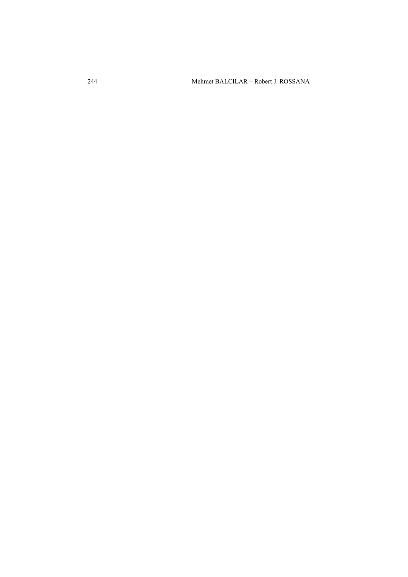244 Mehmet BALCILAR – Robert J. ROSSANA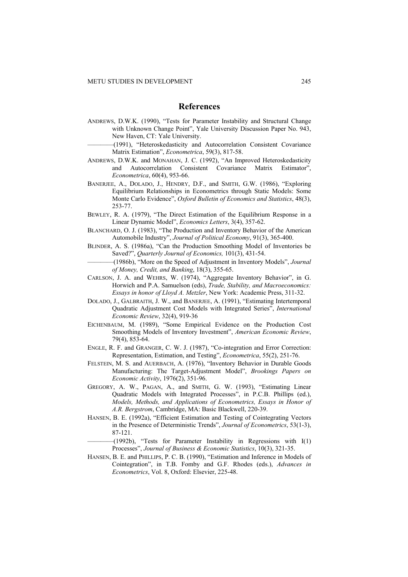#### **References**

- ANDREWS, D.W.K. (1990), "Tests for Parameter Instability and Structural Change with Unknown Change Point", Yale University Discussion Paper No. 943, New Haven, CT: Yale University.
	- ————(1991), "Heteroskedasticity and Autocorrelation Consistent Covariance Matrix Estimation", *Econometrica*, 59(3), 817-58.
- ANDREWS, D.W.K. and MONAHAN, J. C. (1992), "An Improved Heteroskedasticity and Autocorrelation Consistent Covariance Matrix Estimator", *Econometrica*, 60(4), 953-66.
- BANERJEE, A., DOLADO, J., HENDRY, D.F., and SMITH, G.W. (1986), "Exploring Equilibrium Relationships in Econometrics through Static Models: Some Monte Carlo Evidence", *Oxford Bulletin of Economics and Statistics*, 48(3), 253-77.
- BEWLEY, R. A. (1979), "The Direct Estimation of the Equilibrium Response in a Linear Dynamic Model", *Economics Letters*, 3(4), 357-62.
- BLANCHARD, O. J. (1983), "The Production and Inventory Behavior of the American Automobile Industry", *Journal of Political Economy*, 91(3), 365-400.
- BLINDER, A. S. (1986a), "Can the Production Smoothing Model of Inventories be Saved?", *Quarterly Journal of Economics,* 101(3), 431-54.
- ————(1986b), "More on the Speed of Adjustment in Inventory Models", *Journal of Money, Credit, and Banking*, 18(3), 355-65.
- CARLSON, J. A. and WEHRS, W. (1974), "Aggregate Inventory Behavior", in G. Horwich and P.A. Samuelson (eds), *Trade, Stability, and Macroeconomics: Essays in honor of Lloyd A. Metzler*, New York: Academic Press, 311-32.
- DOLADO, J., GALBRAITH, J. W., and BANERJEE, A. (1991), "Estimating Intertemporal Quadratic Adjustment Cost Models with Integrated Series", *International Economic Review*, 32(4), 919-36
- EICHENBAUM, M. (1989), "Some Empirical Evidence on the Production Cost Smoothing Models of Inventory Investment", *American Economic Review*, 79(4), 853-64.
- ENGLE, R. F. and GRANGER, C. W. J. (1987), "Co-integration and Error Correction: Representation, Estimation, and Testing", *Econometrica*, 55(2), 251-76.
- FELSTEIN, M. S. and AUERBACH, A. (1976), "Inventory Behavior in Durable Goods Manufacturing: The Target-Adjustment Model", *Brookings Papers on Economic Activity*, 1976(2), 351-96.
- GREGORY, A. W., PAGAN, A., and SMITH, G. W. (1993), "Estimating Linear Quadratic Models with Integrated Processes", in P.C.B. Phillips (ed.), *Models, Methods, and Applications of Econometrics, Essays in Honor of A.R. Bergstrom*, Cambridge, MA: Basic Blackwell, 220-39.
- HANSEN, B. E. (1992a), "Efficient Estimation and Testing of Cointegrating Vectors in the Presence of Deterministic Trends", *Journal of Econometrics*, 53(1-3), 87-121.
	- $-(1992b)$ , "Tests for Parameter Instability in Regressions with  $I(1)$ Processes", *Journal of Business & Economic Statistics*, 10(3), 321-35.
- HANSEN, B. E. and PHILLIPS, P. C. B. (1990), "Estimation and Inference in Models of Cointegration", in T.B. Fomby and G.F. Rhodes (eds.), *Advances in Econometrics*, Vol. 8, Oxford: Elsevier, 225-48.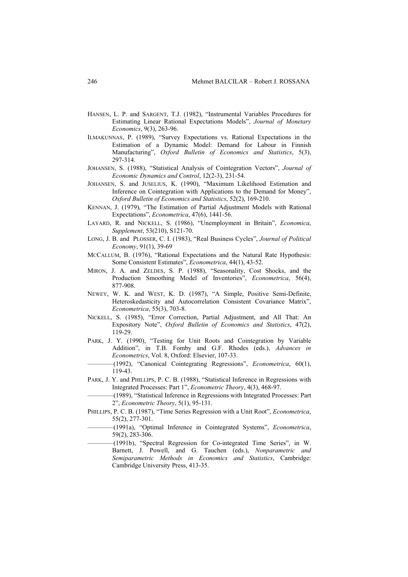- HANSEN, L. P. and SARGENT, T.J. (1982), "Instrumental Variables Procedures for Estimating Linear Rational Expectations Models", *Journal of Monetary Economics*, 9(3), 263-96.
- ILMAKUNNAS, P. (1989), "Survey Expectations vs. Rational Expectations in the Estimation of a Dynamic Model: Demand for Labour in Finnish Manufacturing", *Oxford Bulletin of Economics and Statistics*, 5(3), 297-314.
- JOHANSEN, S. (1988), "Statistical Analysis of Cointegration Vectors", *Journal of Economic Dynamics and Control*, 12(2-3), 231-54.
- JOHANSEN, S. and JUSELIUS, K. (1990), "Maximum Likelihood Estimation and Inference on Cointegration with Applications to the Demand for Money", *Oxford Bulletin of Economics and Statistics*, 52(2), 169-210.
- KENNAN, J. (1979), "The Estimation of Partial Adjustment Models with Rational Expectations", *Econometrica*, 47(6), 1441-56.
- LAYARD, R. and NICKELL, S. (1986), "Unemployment in Britain", *Economica*, *Supplement*, 53(210), S121-70.
- LONG, J. B. and PLOSSER, C. I. (1983), "Real Business Cycles", *Journal of Political Economy*, 91(1), 39-69
- MCCALLUM, B. (1976), "Rational Expectations and the Natural Rate Hypothesis: Some Consistent Estimates", *Econometrica*, 44(1), 43-52.
- MIRON, J. A. and ZELDES, S. P. (1988), "Seasonality, Cost Shocks, and the Production Smoothing Model of Inventories", *Econometrica*, 56(4), 877-908.
- NEWEY, W. K. and WEST, K. D. (1987), "A Simple, Positive Semi-Definite, Heteroskedasticity and Autocorrelation Consistent Covariance Matrix", *Econometrica*, 55(3), 703-8.
- NICKELL, S. (1985), "Error Correction, Partial Adjustment, and All That: An Expository Note", *Oxford Bulletin of Economics and Statistics*, 47(2), 119-29.
- PARK, J. Y. (1990), "Testing for Unit Roots and Cointegration by Variable Addition", in T.B. Fomby and G.F. Rhodes (eds.), *Advances in Econometrics*, Vol. 8, Oxford: Elsevier, 107-33.
- ————(1992), "Canonical Cointegrating Regressions", *Econometrica*, 60(1), 119-43.
- PARK, J. Y. and PHILLIPS, P. C. B. (1988), "Statistical Inference in Regressions with Integrated Processes: Part 1", *Econometric Theory*, 4(3), 468-97.

————(1989), "Statistical Inference in Regressions with Integrated Processes: Part 2", *Econometric Theory*, 5(1), 95-131.

- PHILLIPS, P. C. B. (1987), "Time Series Regression with a Unit Root", *Econometrica*, 55(2), 277-301.
- ————(1991a), "Optimal Inference in Cointegrated Systems", *Econometrica*, 59(2), 283-306.
	- ————(1991b), "Spectral Regression for Co-integrated Time Series", in W. Barnett, J. Powell, and G. Tauchen (eds.), *Nonparametric and Semiparametric Methods in Economics and Statistics*, Cambridge: Cambridge University Press, 413-35.